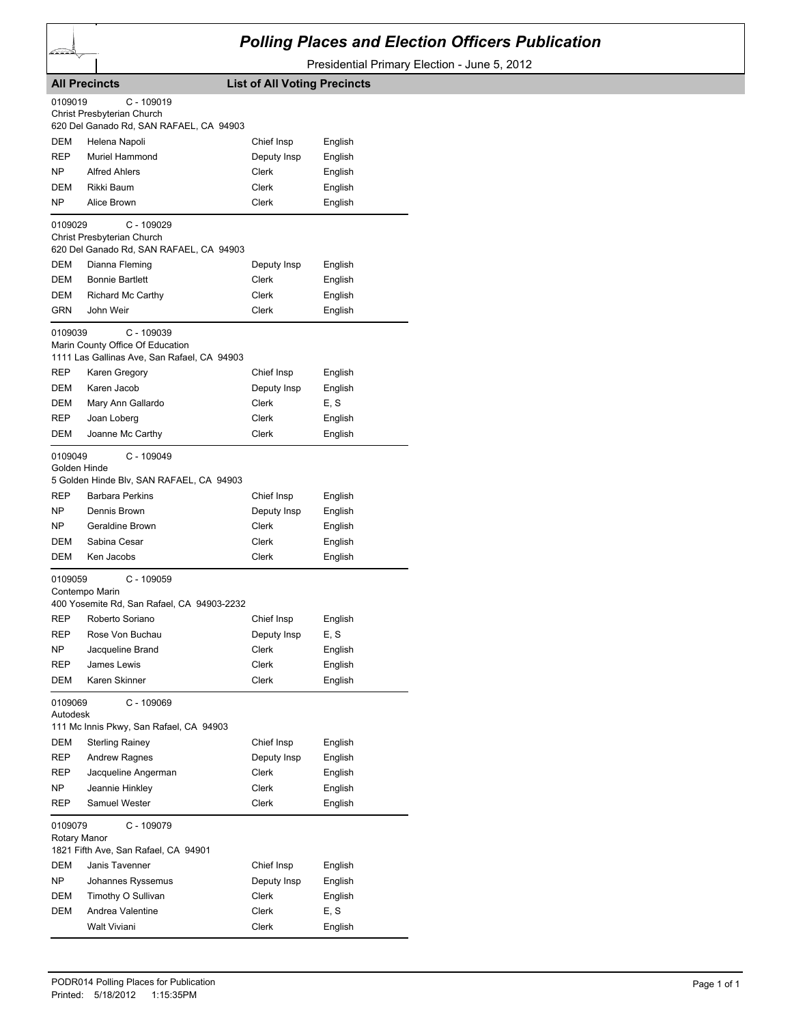

## *Polling Places and Election Officers Publication*

Presidential Primary Election - June 5, 2012

|                         | <b>All Precincts</b>                                                                            | <b>List of All Voting Precincts</b> |         |
|-------------------------|-------------------------------------------------------------------------------------------------|-------------------------------------|---------|
| 0109019                 | $C - 109019$                                                                                    |                                     |         |
|                         | Christ Presbyterian Church<br>620 Del Ganado Rd, SAN RAFAEL, CA 94903                           |                                     |         |
| DEM                     | Helena Napoli                                                                                   | Chief Insp                          | English |
| <b>REP</b>              | Muriel Hammond                                                                                  | Deputy Insp                         | English |
| NΡ                      | <b>Alfred Ahlers</b>                                                                            | Clerk                               | English |
| DEM                     | Rikki Baum                                                                                      | Clerk                               | English |
| NΡ                      | Alice Brown                                                                                     | Clerk                               | English |
| 0109029                 | $C - 109029$                                                                                    |                                     |         |
|                         | Christ Presbyterian Church                                                                      |                                     |         |
|                         | 620 Del Ganado Rd, SAN RAFAEL, CA 94903                                                         |                                     |         |
| DEM                     | Dianna Fleming                                                                                  | Deputy Insp                         | English |
| DEM                     | <b>Bonnie Bartlett</b>                                                                          | Clerk                               | English |
| DEM                     | <b>Richard Mc Carthy</b>                                                                        | Clerk                               | English |
| GRN                     | John Weir                                                                                       | Clerk                               | English |
| 0109039                 | $C - 109039$<br>Marin County Office Of Education<br>1111 Las Gallinas Ave, San Rafael, CA 94903 |                                     |         |
| REP                     | Karen Gregory                                                                                   | Chief Insp                          | English |
| DEM                     | Karen Jacob                                                                                     | Deputy Insp                         | English |
| DEM                     | Mary Ann Gallardo                                                                               | Clerk                               | E, S    |
| REP                     | Joan Loberg                                                                                     | Clerk                               | English |
| DEM                     | Joanne Mc Carthy                                                                                | Clerk                               | English |
| 0109049<br>Golden Hinde | $C - 109049$                                                                                    |                                     |         |
|                         | 5 Golden Hinde Blv, SAN RAFAEL, CA 94903                                                        |                                     |         |
| <b>REP</b>              | <b>Barbara Perkins</b>                                                                          | Chief Insp                          | English |
| NΡ                      | Dennis Brown                                                                                    | Deputy Insp                         | English |
| NΡ                      | Geraldine Brown                                                                                 | Clerk                               | English |
| DEM                     | Sabina Cesar                                                                                    | Clerk                               | English |
| DEM                     | Ken Jacobs                                                                                      | Clerk                               | English |
| 0109059                 | $C - 109059$<br>Contempo Marin<br>400 Yosemite Rd, San Rafael, CA 94903-2232                    |                                     |         |
| REP                     | Roberto Soriano                                                                                 | Chief Insp                          | English |
| REP                     | Rose Von Buchau                                                                                 | Deputy Insp                         | E, S    |
| NΡ                      | Jacqueline Brand                                                                                | Clerk                               | English |
| REP                     | James Lewis                                                                                     | Clerk                               | English |
| DEM                     | Karen Skinner                                                                                   | Clerk                               | English |
| 0109069<br>Autodesk     | C - 109069                                                                                      |                                     |         |
|                         | 111 Mc Innis Pkwy, San Rafael, CA 94903                                                         |                                     |         |
| <b>DEM</b>              | <b>Sterling Rainey</b>                                                                          | Chief Insp                          | English |
| REP                     | <b>Andrew Ragnes</b>                                                                            | Deputy Insp                         | English |
| REP                     | Jacqueline Angerman                                                                             | Clerk                               | English |
| NP.                     | Jeannie Hinkley                                                                                 | Clerk                               | English |
| REP                     | Samuel Wester                                                                                   | Clerk                               | English |
| 0109079<br>Rotary Manor | C - 109079<br>1821 Fifth Ave, San Rafael, CA 94901                                              |                                     |         |
| DEM                     | Janis Tavenner                                                                                  | Chief Insp                          | English |
| NΡ                      | Johannes Ryssemus                                                                               | Deputy Insp                         | English |
| DEM                     | Timothy O Sullivan                                                                              | Clerk                               | English |
| DEM                     | Andrea Valentine                                                                                | Clerk                               | E, S    |
|                         | Walt Viviani                                                                                    | Clerk                               | English |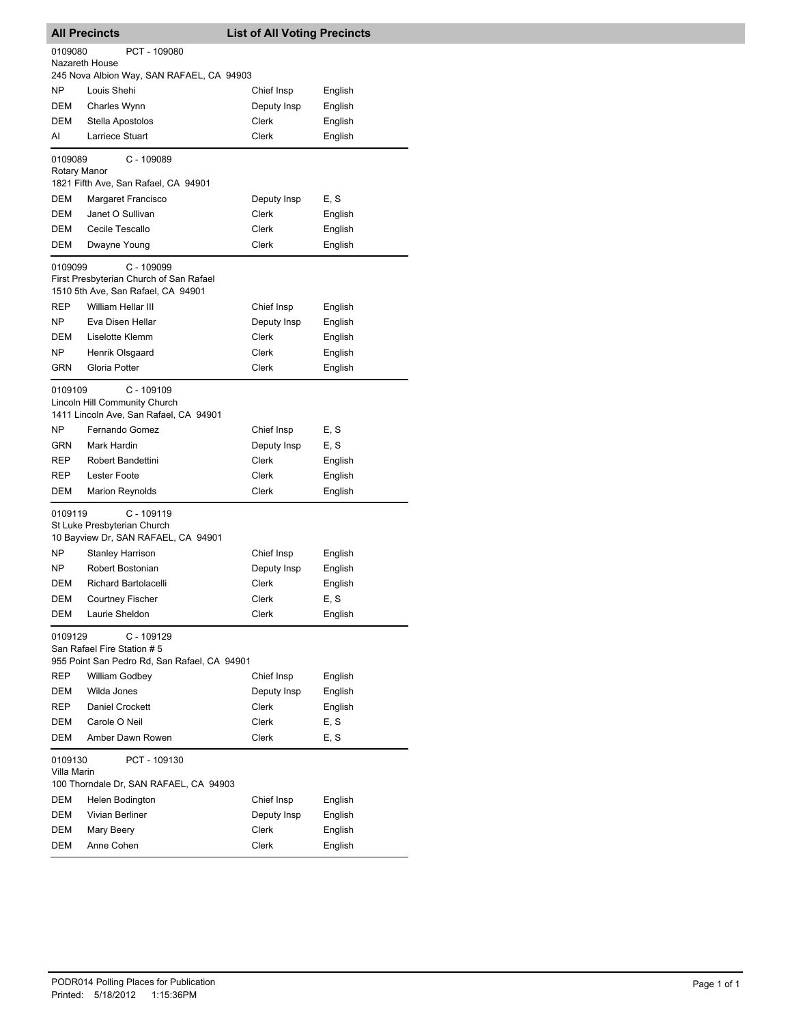| <b>All Precincts</b>    |                                                                                                                   | <b>List of All Voting Precincts</b> |         |
|-------------------------|-------------------------------------------------------------------------------------------------------------------|-------------------------------------|---------|
| 0109080                 | PCT - 109080                                                                                                      |                                     |         |
| Nazareth House          |                                                                                                                   |                                     |         |
|                         | 245 Nova Albion Way, SAN RAFAEL, CA 94903                                                                         |                                     |         |
| NP                      | Louis Shehi                                                                                                       | Chief Insp                          | English |
| <b>DEM</b>              | Charles Wynn                                                                                                      | Deputy Insp                         | English |
| DEM                     | Stella Apostolos                                                                                                  | Clerk                               | English |
| AI                      | Larriece Stuart                                                                                                   | Clerk                               | English |
| 0109089<br>Rotary Manor | C - 109089<br>1821 Fifth Ave, San Rafael, CA 94901                                                                |                                     |         |
| DEM                     | Margaret Francisco                                                                                                | Deputy Insp                         | E, S    |
| DEM                     | Janet O Sullivan                                                                                                  | Clerk                               | English |
| <b>DEM</b>              | Cecile Tescallo                                                                                                   | Clerk                               | English |
| DEM                     | Dwayne Young                                                                                                      | Clerk                               | English |
| 0109099<br>REP          | C - 109099<br>First Presbyterian Church of San Rafael<br>1510 5th Ave, San Rafael, CA 94901<br>William Hellar III |                                     |         |
|                         |                                                                                                                   | Chief Insp                          | English |
| ΝP                      | Eva Disen Hellar                                                                                                  | Deputy Insp                         | English |
| DEM                     | Liselotte Klemm                                                                                                   | Clerk                               | English |
| NP<br><b>GRN</b>        | Henrik Olsgaard<br>Gloria Potter                                                                                  | Clerk<br><b>Clerk</b>               | English |
|                         |                                                                                                                   |                                     | English |
| 0109109                 | C - 109109<br>Lincoln Hill Community Church<br>1411 Lincoln Ave, San Rafael, CA 94901                             |                                     |         |
| NP                      | Fernando Gomez                                                                                                    | Chief Insp                          | E, S    |
| GRN                     | Mark Hardin                                                                                                       | Deputy Insp                         | E, S    |
| REP                     | Robert Bandettini                                                                                                 | Clerk                               | English |
| <b>REP</b>              | <b>Lester Foote</b>                                                                                               | Clerk                               | English |
| DEM                     | <b>Marion Reynolds</b>                                                                                            | Clerk                               | English |
| 0109119                 | C - 109119<br>St Luke Presbyterian Church<br>10 Bayview Dr, SAN RAFAEL, CA 94901                                  |                                     |         |
| ΝP                      | Stanley Harrison                                                                                                  | Chief Insp                          | English |
| NP                      | Robert Bostonian                                                                                                  | Deputy Insp                         | English |
| DEM                     | <b>Richard Bartolacelli</b>                                                                                       | Clerk                               | English |
| <b>DEM</b>              | Courtney Fischer                                                                                                  | Clerk                               | E, S    |
| DEM                     | Laurie Sheldon                                                                                                    | Clerk                               | English |
| 0109129                 | C - 109129<br>San Rafael Fire Station # 5<br>955 Point San Pedro Rd, San Rafael, CA 94901                         |                                     |         |
| REP                     | <b>William Godbey</b>                                                                                             | Chief Insp                          | English |
| DEM                     | Wilda Jones                                                                                                       | Deputy Insp                         | English |
| <b>REP</b>              | Daniel Crockett                                                                                                   | Clerk                               | English |
| DEM                     | Carole O Neil                                                                                                     | Clerk                               | E, S    |
| DEM                     | Amber Dawn Rowen                                                                                                  | Clerk                               | E, S    |
| 0109130<br>Villa Marin  | PCT - 109130<br>100 Thorndale Dr, SAN RAFAEL, CA 94903                                                            |                                     |         |
| DEM                     | Helen Bodington                                                                                                   | Chief Insp                          | English |
| DEM                     | Vivian Berliner                                                                                                   | Deputy Insp                         | English |
| DEM                     | Mary Beery                                                                                                        | Clerk                               | English |
| DEM                     | Anne Cohen                                                                                                        | Clerk                               | English |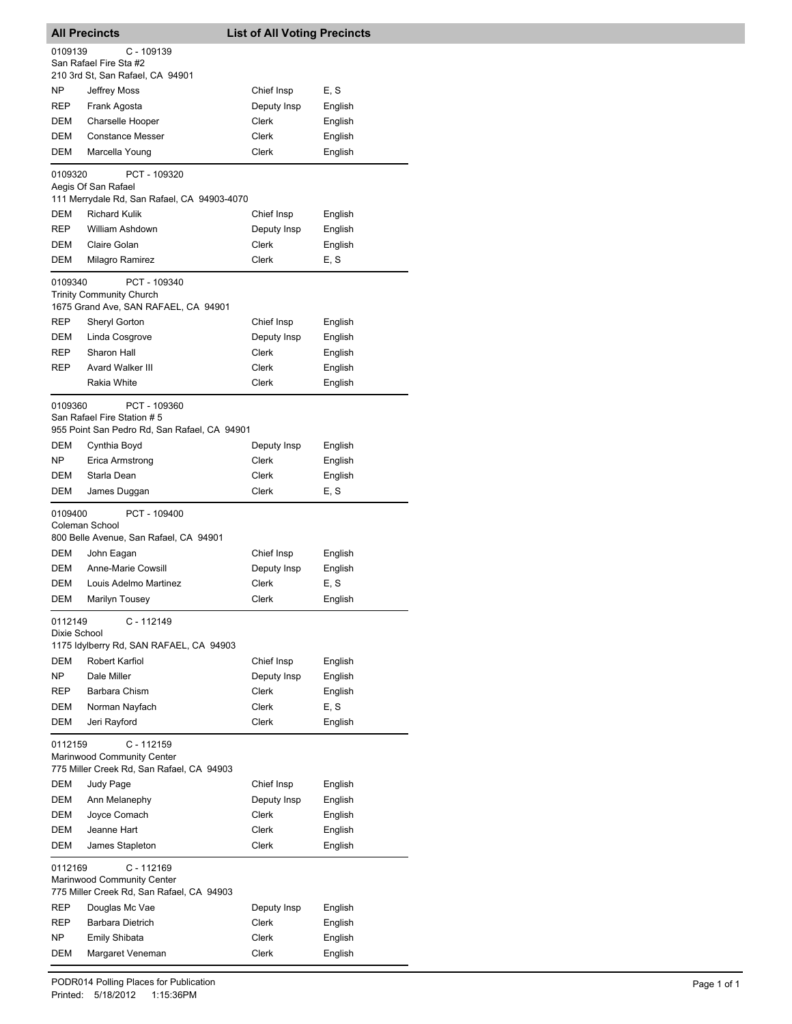| <b>All Precincts</b>    |                                                                                            | <b>List of All Voting Precincts</b> |                    |  |
|-------------------------|--------------------------------------------------------------------------------------------|-------------------------------------|--------------------|--|
| 0109139                 | C - 109139                                                                                 |                                     |                    |  |
|                         | San Rafael Fire Sta #2                                                                     |                                     |                    |  |
|                         | 210 3rd St, San Rafael, CA 94901                                                           |                                     |                    |  |
| NΡ                      | <b>Jeffrey Moss</b>                                                                        | Chief Insp                          | E, S               |  |
| REP                     | Frank Agosta                                                                               | Deputy Insp                         | English            |  |
| DEM                     | Charselle Hooper                                                                           | Clerk                               | English            |  |
| DEM<br>DEM              | <b>Constance Messer</b><br>Marcella Young                                                  | Clerk<br>Clerk                      | English<br>English |  |
|                         |                                                                                            |                                     |                    |  |
| 0109320                 | PCT - 109320<br>Aegis Of San Rafael<br>111 Merrydale Rd, San Rafael, CA 94903-4070         |                                     |                    |  |
| DEM                     | <b>Richard Kulik</b>                                                                       | Chief Insp                          | English            |  |
| REP                     | William Ashdown                                                                            | Deputy Insp                         | English            |  |
| DEM                     | Claire Golan                                                                               | Clerk                               | English            |  |
| DEM                     | Milagro Ramirez                                                                            | <b>Clerk</b>                        | E, S               |  |
| 0109340                 | PCT - 109340<br><b>Trinity Community Church</b>                                            |                                     |                    |  |
|                         | 1675 Grand Ave, SAN RAFAEL, CA 94901                                                       |                                     |                    |  |
| REP                     | Sheryl Gorton                                                                              | Chief Insp                          | English            |  |
| DEM                     | Linda Cosgrove                                                                             | Deputy Insp                         | English            |  |
| REP                     | Sharon Hall                                                                                | Clerk                               | English            |  |
| REP                     | <b>Avard Walker III</b>                                                                    | Clerk                               | English            |  |
|                         | Rakia White                                                                                | Clerk                               | English            |  |
| 0109360                 | PCT - 109360<br>San Rafael Fire Station #5<br>955 Point San Pedro Rd, San Rafael, CA 94901 |                                     |                    |  |
| DEM                     | Cynthia Boyd                                                                               | Deputy Insp                         | English            |  |
| NΡ                      | Erica Armstrong                                                                            | Clerk                               | English            |  |
| DEM                     | Starla Dean                                                                                | Clerk                               | English            |  |
| DEM                     | James Duggan                                                                               | Clerk                               | E, S               |  |
| 0109400                 | PCT - 109400<br>Coleman School                                                             |                                     |                    |  |
|                         | 800 Belle Avenue, San Rafael, CA 94901<br>John Eagan                                       |                                     |                    |  |
| DEM<br>DEM              | Anne-Marie Cowsill                                                                         | Chief Insp<br>Deputy Insp           | English<br>English |  |
| DEM                     | Louis Adelmo Martinez                                                                      | Clerk                               | E, S               |  |
| DEM                     | <b>Marilyn Tousey</b>                                                                      | Clerk                               | English            |  |
| 0112149<br>Dixie School | C - 112149                                                                                 |                                     |                    |  |
|                         | 1175 Idylberry Rd, SAN RAFAEL, CA 94903                                                    |                                     |                    |  |
| DEM                     | Robert Karfiol                                                                             | Chief Insp                          | English            |  |
| NP.                     | Dale Miller                                                                                | Deputy Insp                         | English            |  |
| REP                     | Barbara Chism                                                                              | Clerk                               | English            |  |
| DEM                     | Norman Nayfach                                                                             | Clerk                               | E, S               |  |
| DEM                     | Jeri Rayford                                                                               | <b>Clerk</b>                        | English            |  |
| 0112159                 | $C - 112159$<br>Marinwood Community Center<br>775 Miller Creek Rd, San Rafael, CA 94903    |                                     |                    |  |
| DEM                     | Judy Page                                                                                  | Chief Insp                          | English            |  |
| DEM                     | Ann Melanephy                                                                              | Deputy Insp                         | English            |  |
| DEM                     | Joyce Comach                                                                               | Clerk                               | English            |  |
| DEM                     | Jeanne Hart                                                                                | Clerk                               | English            |  |
| DEM                     | James Stapleton                                                                            | Clerk                               | English            |  |
| 0112169                 | C - 112169<br>Marinwood Community Center<br>775 Miller Creek Rd, San Rafael, CA 94903      |                                     |                    |  |
| REP                     | Douglas Mc Vae                                                                             | Deputy Insp                         | English            |  |
| REP                     | <b>Barbara Dietrich</b>                                                                    | Clerk                               | English            |  |
| NP.                     | Emily Shibata                                                                              | Clerk                               | English            |  |
| DEM                     | Margaret Veneman                                                                           | Clerk                               | English            |  |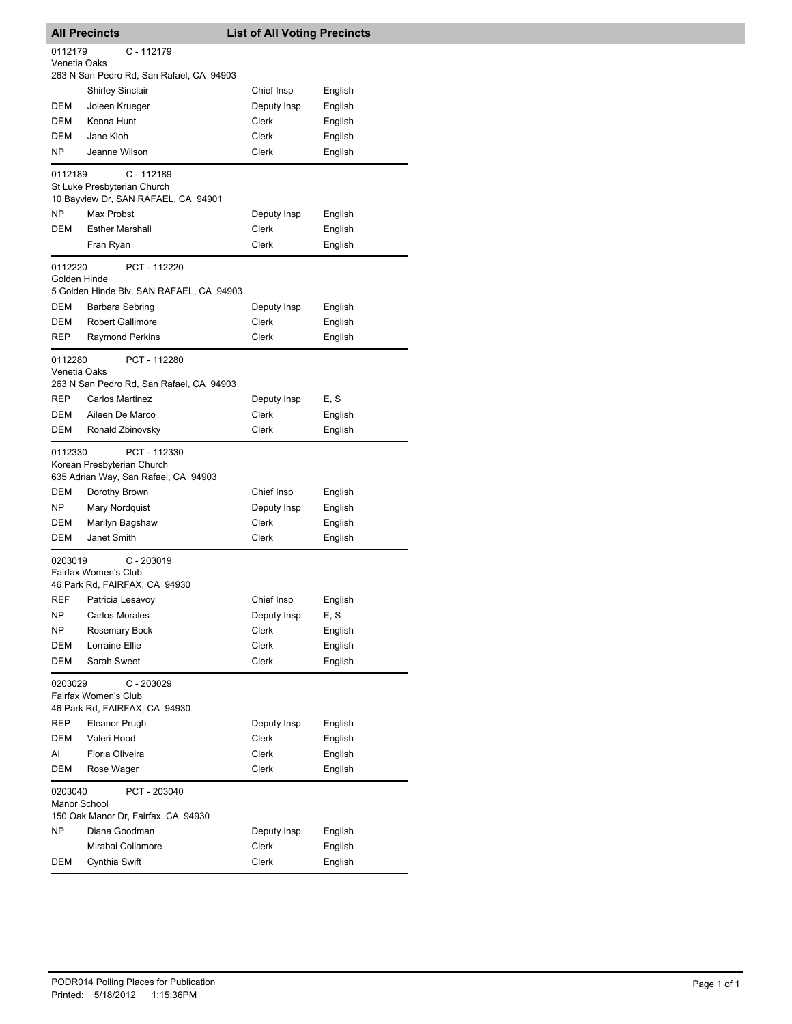|              | <b>All Precincts</b>                                     | <b>List of All Voting Precincts</b> |                    |
|--------------|----------------------------------------------------------|-------------------------------------|--------------------|
| 0112179      | $C - 112179$                                             |                                     |                    |
| Venetia Oaks |                                                          |                                     |                    |
|              | 263 N San Pedro Rd, San Rafael, CA 94903                 |                                     |                    |
|              | <b>Shirley Sinclair</b>                                  | Chief Insp                          | English            |
| DEM          | Joleen Krueger                                           | Deputy Insp                         | English            |
| <b>DEM</b>   | Kenna Hunt                                               | Clerk                               | English            |
| <b>DEM</b>   | Jane Kloh                                                | Clerk                               | English            |
| NP.          | Jeanne Wilson                                            | Clerk                               | English            |
| 0112189      | $C - 112189$                                             |                                     |                    |
|              | St Luke Presbyterian Church                              |                                     |                    |
|              | 10 Bayview Dr, SAN RAFAEL, CA 94901<br><b>Max Probst</b> |                                     |                    |
| NP<br>DEM    |                                                          | Deputy Insp                         | English            |
|              | <b>Esther Marshall</b>                                   | Clerk                               | English            |
|              | Fran Ryan                                                | Clerk                               | English            |
| 0112220      | PCT - 112220                                             |                                     |                    |
| Golden Hinde | 5 Golden Hinde Blv, SAN RAFAEL, CA 94903                 |                                     |                    |
| DEM          | Barbara Sebring                                          | Deputy Insp                         | English            |
| DEM          | <b>Robert Gallimore</b>                                  | <b>Clerk</b>                        |                    |
| REP          |                                                          | Clerk                               | English            |
|              | <b>Raymond Perkins</b>                                   |                                     | English            |
| 0112280      | PCT - 112280                                             |                                     |                    |
| Venetia Oaks | 263 N San Pedro Rd, San Rafael, CA 94903                 |                                     |                    |
| REP          | <b>Carlos Martinez</b>                                   |                                     | E, S               |
| DEM          | Aileen De Marco                                          | Deputy Insp<br>Clerk                |                    |
| DEM          |                                                          | Clerk                               | English            |
|              | Ronald Zbinovsky                                         |                                     | English            |
| 0112330      | PCT - 112330                                             |                                     |                    |
|              | Korean Presbyterian Church                               |                                     |                    |
| DEM          | 635 Adrian Way, San Rafael, CA 94903                     | Chief Insp                          |                    |
| NP           | Dorothy Brown<br>Mary Nordquist                          | Deputy Insp                         | English<br>English |
| DEM          | Marilyn Bagshaw                                          | Clerk                               |                    |
| DEM          | Janet Smith                                              | Clerk                               | English<br>English |
|              |                                                          |                                     |                    |
| 0203019      | C - 203019                                               |                                     |                    |
|              | Fairfax Women's Club                                     |                                     |                    |
| <b>REF</b>   | 46 Park Rd, FAIRFAX, CA 94930                            | Chief Insp                          |                    |
| NP           | Patricia Lesavoy<br>Carlos Morales                       | Deputy Insp                         | English<br>E, S    |
| NP.          | Rosemary Bock                                            | Clerk                               | English            |
| DEM          | Lorraine Ellie                                           | Clerk                               | English            |
| DEM          | Sarah Sweet                                              | Clerk                               | English            |
|              |                                                          |                                     |                    |
| 0203029      | C - 203029                                               |                                     |                    |
|              | Fairfax Women's Club<br>46 Park Rd, FAIRFAX, CA 94930    |                                     |                    |
| <b>REP</b>   | Eleanor Prugh                                            | Deputy Insp                         | English            |
| <b>DEM</b>   | Valeri Hood                                              | Clerk                               |                    |
| Al           | Floria Oliveira                                          | Clerk                               | English<br>English |
| <b>DEM</b>   | Rose Wager                                               | Clerk                               | English            |
|              |                                                          |                                     |                    |
| 0203040      | PCT - 203040                                             |                                     |                    |
| Manor School | 150 Oak Manor Dr, Fairfax, CA 94930                      |                                     |                    |
| NP.          | Diana Goodman                                            | Deputy Insp                         | English            |
|              | Mirabai Collamore                                        | Clerk                               | English            |
| DEM          | Cynthia Swift                                            | Clerk                               | English            |
|              |                                                          |                                     |                    |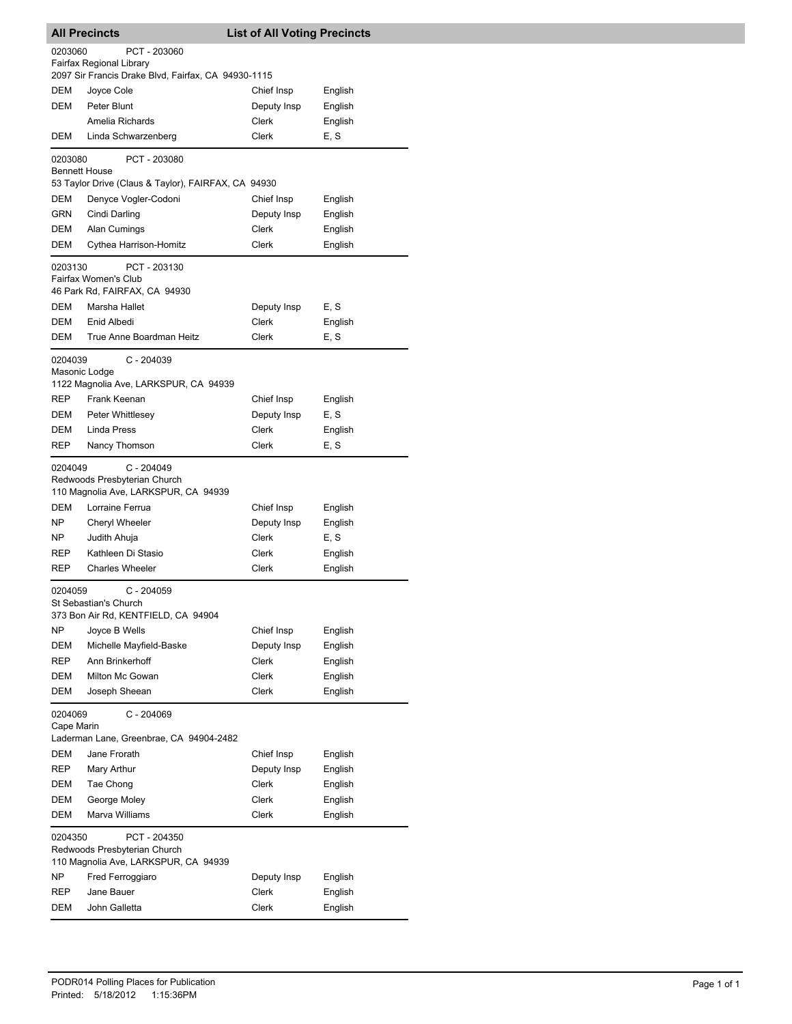| <b>All Precincts</b>            |                                                                                                 | <b>List of All Voting Precincts</b> |         |  |  |
|---------------------------------|-------------------------------------------------------------------------------------------------|-------------------------------------|---------|--|--|
| 0203060                         | PCT - 203060<br>Fairfax Regional Library<br>2097 Sir Francis Drake Blvd, Fairfax, CA 94930-1115 |                                     |         |  |  |
| DEM                             |                                                                                                 | Chief Insp                          |         |  |  |
| <b>DEM</b>                      | Joyce Cole                                                                                      |                                     | English |  |  |
|                                 | Peter Blunt                                                                                     | Deputy Insp                         | English |  |  |
|                                 | Amelia Richards                                                                                 | Clerk                               | English |  |  |
| DEM                             | Linda Schwarzenberg                                                                             | Clerk                               | E, S    |  |  |
| 0203080<br><b>Bennett House</b> | PCT - 203080                                                                                    |                                     |         |  |  |
|                                 | 53 Taylor Drive (Claus & Taylor), FAIRFAX, CA 94930                                             |                                     |         |  |  |
| DEM                             | Denyce Vogler-Codoni                                                                            | Chief Insp                          | English |  |  |
| <b>GRN</b>                      | Cindi Darling                                                                                   | Deputy Insp                         | English |  |  |
| DEM                             | Alan Cumings                                                                                    | Clerk                               | English |  |  |
| DEM                             | Cythea Harrison-Homitz                                                                          | Clerk                               | English |  |  |
| 0203130                         | PCT - 203130<br>Fairfax Women's Club<br>46 Park Rd, FAIRFAX, CA 94930                           |                                     |         |  |  |
| DEM                             | Marsha Hallet                                                                                   | Deputy Insp                         | E, S    |  |  |
| DEM                             | Enid Albedi                                                                                     | Clerk                               | English |  |  |
| <b>DEM</b>                      | True Anne Boardman Heitz                                                                        | Clerk                               | E, S    |  |  |
| 0204039<br>Masonic Lodge        | C - 204039<br>1122 Magnolia Ave, LARKSPUR, CA 94939                                             |                                     |         |  |  |
| <b>REP</b>                      | Frank Keenan                                                                                    | Chief Insp                          | English |  |  |
| DEM                             | Peter Whittlesey                                                                                | Deputy Insp                         | E, S    |  |  |
| DEM                             | Linda Press                                                                                     | Clerk                               | English |  |  |
| REP                             | Nancy Thomson                                                                                   | Clerk                               | E, S    |  |  |
| 0204049                         | C - 204049<br>Redwoods Presbyterian Church<br>110 Magnolia Ave, LARKSPUR, CA 94939              |                                     |         |  |  |
| DEM                             | Lorraine Ferrua                                                                                 | Chief Insp                          | English |  |  |
| ΝP                              | <b>Cheryl Wheeler</b>                                                                           | Deputy Insp                         | English |  |  |
| ΝP                              | Judith Ahuja                                                                                    | Clerk                               | E, S    |  |  |
| REP                             | Kathleen Di Stasio                                                                              | Clerk                               | English |  |  |
| REP                             | <b>Charles Wheeler</b>                                                                          | Clerk                               | English |  |  |
| 0204059                         | C - 204059<br>St Sebastian's Church<br>373 Bon Air Rd, KENTFIELD, CA 94904<br>Joyce B Wells     |                                     |         |  |  |
| NP                              |                                                                                                 | Chief Insp                          | English |  |  |
| DEM                             | Michelle Mayfield-Baske                                                                         | Deputy Insp                         | English |  |  |
| REP                             | Ann Brinkerhoff                                                                                 | Clerk                               | English |  |  |
| DEM                             | Milton Mc Gowan                                                                                 | Clerk                               | English |  |  |
| DEM                             | Joseph Sheean                                                                                   | Clerk                               | English |  |  |
| 0204069<br>Cape Marin           | C - 204069<br>Laderman Lane, Greenbrae, CA 94904-2482                                           |                                     |         |  |  |
| <b>DEM</b>                      | Jane Frorath                                                                                    | Chief Insp                          | English |  |  |
| REP                             | Mary Arthur                                                                                     | Deputy Insp                         | English |  |  |
| DEM                             | Tae Chong                                                                                       | Clerk                               | English |  |  |
| DEM                             | George Moley                                                                                    | Clerk                               | English |  |  |
| DEM                             | Marva Williams                                                                                  | Clerk                               | English |  |  |
|                                 | 0204350<br>PCT - 204350<br>Redwoods Presbyterian Church<br>110 Magnolia Ave, LARKSPUR, CA 94939 |                                     |         |  |  |
| NP                              | Fred Ferroggiaro                                                                                | Deputy Insp                         | English |  |  |
| REP                             | Jane Bauer                                                                                      | Clerk                               | English |  |  |
| DEM                             | John Galletta                                                                                   | Clerk                               | English |  |  |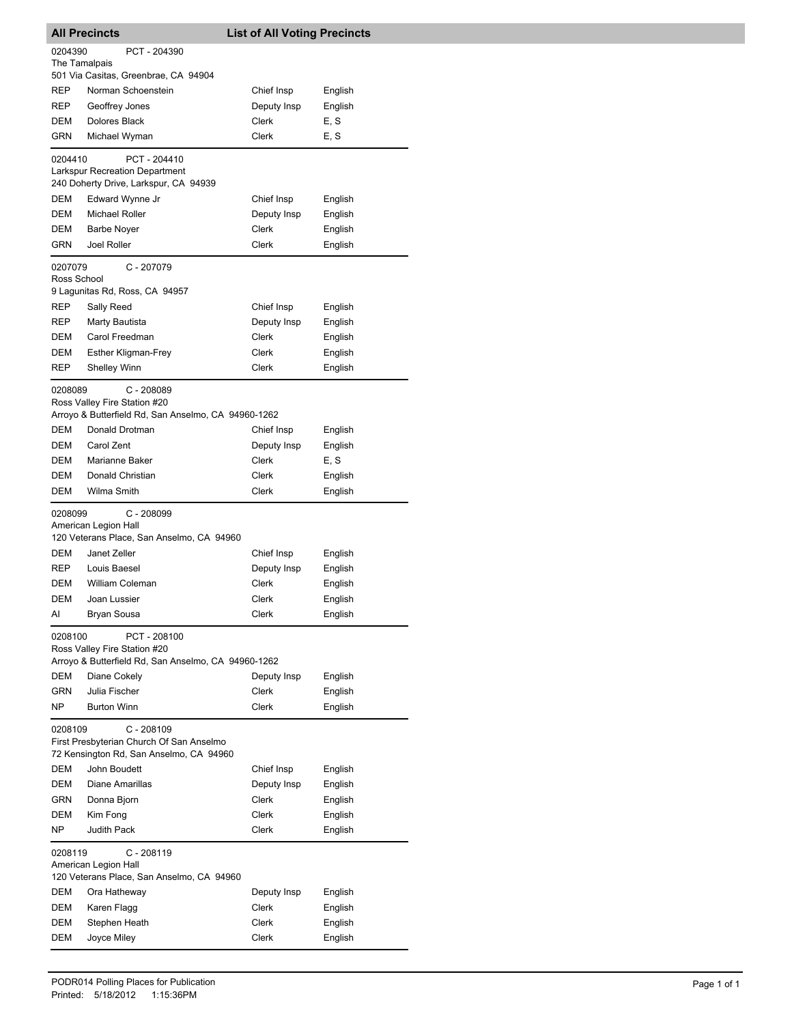| 0204390<br>PCT - 204390<br>The Tamalpais<br>501 Via Casitas, Greenbrae, CA 94904<br>REP<br>Norman Schoenstein<br>Chief Insp<br>English<br>Deputy Insp<br>REP<br>Geoffrey Jones<br>English<br>DEM<br>Dolores Black<br>Clerk<br>E, S<br><b>GRN</b><br>Michael Wyman<br>Clerk<br>E, S<br>0204410<br>PCT - 204410<br><b>Larkspur Recreation Department</b><br>240 Doherty Drive, Larkspur, CA 94939<br>DEM<br>Edward Wynne Jr<br>Chief Insp<br>English<br>DEM<br>Michael Roller<br>Deputy Insp<br>English<br>DEM<br>Clerk<br>English<br><b>Barbe Noyer</b><br>Joel Roller<br><b>GRN</b><br>Clerk<br>English<br>0207079<br>C - 207079<br>Ross School<br>9 Lagunitas Rd, Ross, CA 94957<br>REP<br>Sally Reed<br>Chief Insp<br>English<br><b>REP</b><br>Deputy Insp<br>Marty Bautista<br>English<br><b>DEM</b><br>Carol Freedman<br>Clerk<br>English<br>DEM<br><b>Esther Kligman-Frey</b><br>Clerk<br>English<br><b>Shelley Winn</b><br>Clerk<br>English<br>REP<br>$C - 208089$<br>0208089<br>Ross Valley Fire Station #20<br>Arroyo & Butterfield Rd, San Anselmo, CA 94960-1262<br>Donald Drotman<br>DEM<br>Chief Insp<br>English<br>Carol Zent<br>DEM<br>Deputy Insp<br>English<br>DEM<br>Marianne Baker<br>Clerk<br>E, S<br>DEM<br>Donald Christian<br>Clerk<br>English<br>Wilma Smith<br>Clerk<br>DEM<br>English<br>$C - 208099$<br>0208099<br>American Legion Hall<br>120 Veterans Place, San Anselmo, CA 94960<br>Janet Zeller<br>DEM<br>Chief Insp<br>English<br><b>REP</b><br>Louis Baesel<br>Deputy Insp<br>English<br><b>DEM</b><br>William Coleman<br>Clerk<br>English<br>DEM<br>English<br>Joan Lussier<br>Clerk<br>AI<br>Bryan Sousa<br>Clerk<br>English<br>0208100<br>PCT - 208100<br>Ross Valley Fire Station #20<br>Arroyo & Butterfield Rd, San Anselmo, CA 94960-1262<br>DEM<br>Diane Cokely<br>Deputy Insp<br>English<br><b>GRN</b><br>Julia Fischer<br>Clerk<br>English<br>NP<br><b>Burton Winn</b><br>Clerk<br>English<br>0208109<br>$C - 208109$<br>First Presbyterian Church Of San Anselmo<br>72 Kensington Rd, San Anselmo, CA 94960<br>DEM<br>John Boudett<br>Chief Insp<br>English<br><b>DEM</b><br>Diane Amarillas<br>Deputy Insp<br>English<br>GRN<br>Donna Bjorn<br>Clerk<br>English<br><b>DEM</b><br>Kim Fong<br>Clerk<br>English<br>NP<br>Judith Pack<br>Clerk<br>English<br>$C - 208119$<br>0208119<br>American Legion Hall<br>120 Veterans Place, San Anselmo, CA 94960<br>DEM<br>Ora Hatheway<br>Deputy Insp<br>English<br>DEM<br>Clerk<br>Karen Flagg<br>English<br><b>DEM</b><br>Stephen Heath<br>Clerk<br>English<br>DEM<br>Joyce Miley<br>Clerk<br>English | <b>All Precincts</b> | <b>List of All Voting Precincts</b> |  |
|---------------------------------------------------------------------------------------------------------------------------------------------------------------------------------------------------------------------------------------------------------------------------------------------------------------------------------------------------------------------------------------------------------------------------------------------------------------------------------------------------------------------------------------------------------------------------------------------------------------------------------------------------------------------------------------------------------------------------------------------------------------------------------------------------------------------------------------------------------------------------------------------------------------------------------------------------------------------------------------------------------------------------------------------------------------------------------------------------------------------------------------------------------------------------------------------------------------------------------------------------------------------------------------------------------------------------------------------------------------------------------------------------------------------------------------------------------------------------------------------------------------------------------------------------------------------------------------------------------------------------------------------------------------------------------------------------------------------------------------------------------------------------------------------------------------------------------------------------------------------------------------------------------------------------------------------------------------------------------------------------------------------------------------------------------------------------------------------------------------------------------------------------------------------------------------------------------------------------------------------------------------------------------------------------------------------------------------------------------------------------------------------------------------------------------------------------------------------------------------------------------------------------------------------------------------------------------------------|----------------------|-------------------------------------|--|
|                                                                                                                                                                                                                                                                                                                                                                                                                                                                                                                                                                                                                                                                                                                                                                                                                                                                                                                                                                                                                                                                                                                                                                                                                                                                                                                                                                                                                                                                                                                                                                                                                                                                                                                                                                                                                                                                                                                                                                                                                                                                                                                                                                                                                                                                                                                                                                                                                                                                                                                                                                                             |                      |                                     |  |
|                                                                                                                                                                                                                                                                                                                                                                                                                                                                                                                                                                                                                                                                                                                                                                                                                                                                                                                                                                                                                                                                                                                                                                                                                                                                                                                                                                                                                                                                                                                                                                                                                                                                                                                                                                                                                                                                                                                                                                                                                                                                                                                                                                                                                                                                                                                                                                                                                                                                                                                                                                                             |                      |                                     |  |
|                                                                                                                                                                                                                                                                                                                                                                                                                                                                                                                                                                                                                                                                                                                                                                                                                                                                                                                                                                                                                                                                                                                                                                                                                                                                                                                                                                                                                                                                                                                                                                                                                                                                                                                                                                                                                                                                                                                                                                                                                                                                                                                                                                                                                                                                                                                                                                                                                                                                                                                                                                                             |                      |                                     |  |
|                                                                                                                                                                                                                                                                                                                                                                                                                                                                                                                                                                                                                                                                                                                                                                                                                                                                                                                                                                                                                                                                                                                                                                                                                                                                                                                                                                                                                                                                                                                                                                                                                                                                                                                                                                                                                                                                                                                                                                                                                                                                                                                                                                                                                                                                                                                                                                                                                                                                                                                                                                                             |                      |                                     |  |
|                                                                                                                                                                                                                                                                                                                                                                                                                                                                                                                                                                                                                                                                                                                                                                                                                                                                                                                                                                                                                                                                                                                                                                                                                                                                                                                                                                                                                                                                                                                                                                                                                                                                                                                                                                                                                                                                                                                                                                                                                                                                                                                                                                                                                                                                                                                                                                                                                                                                                                                                                                                             |                      |                                     |  |
|                                                                                                                                                                                                                                                                                                                                                                                                                                                                                                                                                                                                                                                                                                                                                                                                                                                                                                                                                                                                                                                                                                                                                                                                                                                                                                                                                                                                                                                                                                                                                                                                                                                                                                                                                                                                                                                                                                                                                                                                                                                                                                                                                                                                                                                                                                                                                                                                                                                                                                                                                                                             |                      |                                     |  |
|                                                                                                                                                                                                                                                                                                                                                                                                                                                                                                                                                                                                                                                                                                                                                                                                                                                                                                                                                                                                                                                                                                                                                                                                                                                                                                                                                                                                                                                                                                                                                                                                                                                                                                                                                                                                                                                                                                                                                                                                                                                                                                                                                                                                                                                                                                                                                                                                                                                                                                                                                                                             |                      |                                     |  |
|                                                                                                                                                                                                                                                                                                                                                                                                                                                                                                                                                                                                                                                                                                                                                                                                                                                                                                                                                                                                                                                                                                                                                                                                                                                                                                                                                                                                                                                                                                                                                                                                                                                                                                                                                                                                                                                                                                                                                                                                                                                                                                                                                                                                                                                                                                                                                                                                                                                                                                                                                                                             |                      |                                     |  |
|                                                                                                                                                                                                                                                                                                                                                                                                                                                                                                                                                                                                                                                                                                                                                                                                                                                                                                                                                                                                                                                                                                                                                                                                                                                                                                                                                                                                                                                                                                                                                                                                                                                                                                                                                                                                                                                                                                                                                                                                                                                                                                                                                                                                                                                                                                                                                                                                                                                                                                                                                                                             |                      |                                     |  |
|                                                                                                                                                                                                                                                                                                                                                                                                                                                                                                                                                                                                                                                                                                                                                                                                                                                                                                                                                                                                                                                                                                                                                                                                                                                                                                                                                                                                                                                                                                                                                                                                                                                                                                                                                                                                                                                                                                                                                                                                                                                                                                                                                                                                                                                                                                                                                                                                                                                                                                                                                                                             |                      |                                     |  |
|                                                                                                                                                                                                                                                                                                                                                                                                                                                                                                                                                                                                                                                                                                                                                                                                                                                                                                                                                                                                                                                                                                                                                                                                                                                                                                                                                                                                                                                                                                                                                                                                                                                                                                                                                                                                                                                                                                                                                                                                                                                                                                                                                                                                                                                                                                                                                                                                                                                                                                                                                                                             |                      |                                     |  |
|                                                                                                                                                                                                                                                                                                                                                                                                                                                                                                                                                                                                                                                                                                                                                                                                                                                                                                                                                                                                                                                                                                                                                                                                                                                                                                                                                                                                                                                                                                                                                                                                                                                                                                                                                                                                                                                                                                                                                                                                                                                                                                                                                                                                                                                                                                                                                                                                                                                                                                                                                                                             |                      |                                     |  |
|                                                                                                                                                                                                                                                                                                                                                                                                                                                                                                                                                                                                                                                                                                                                                                                                                                                                                                                                                                                                                                                                                                                                                                                                                                                                                                                                                                                                                                                                                                                                                                                                                                                                                                                                                                                                                                                                                                                                                                                                                                                                                                                                                                                                                                                                                                                                                                                                                                                                                                                                                                                             |                      |                                     |  |
|                                                                                                                                                                                                                                                                                                                                                                                                                                                                                                                                                                                                                                                                                                                                                                                                                                                                                                                                                                                                                                                                                                                                                                                                                                                                                                                                                                                                                                                                                                                                                                                                                                                                                                                                                                                                                                                                                                                                                                                                                                                                                                                                                                                                                                                                                                                                                                                                                                                                                                                                                                                             |                      |                                     |  |
|                                                                                                                                                                                                                                                                                                                                                                                                                                                                                                                                                                                                                                                                                                                                                                                                                                                                                                                                                                                                                                                                                                                                                                                                                                                                                                                                                                                                                                                                                                                                                                                                                                                                                                                                                                                                                                                                                                                                                                                                                                                                                                                                                                                                                                                                                                                                                                                                                                                                                                                                                                                             |                      |                                     |  |
|                                                                                                                                                                                                                                                                                                                                                                                                                                                                                                                                                                                                                                                                                                                                                                                                                                                                                                                                                                                                                                                                                                                                                                                                                                                                                                                                                                                                                                                                                                                                                                                                                                                                                                                                                                                                                                                                                                                                                                                                                                                                                                                                                                                                                                                                                                                                                                                                                                                                                                                                                                                             |                      |                                     |  |
|                                                                                                                                                                                                                                                                                                                                                                                                                                                                                                                                                                                                                                                                                                                                                                                                                                                                                                                                                                                                                                                                                                                                                                                                                                                                                                                                                                                                                                                                                                                                                                                                                                                                                                                                                                                                                                                                                                                                                                                                                                                                                                                                                                                                                                                                                                                                                                                                                                                                                                                                                                                             |                      |                                     |  |
|                                                                                                                                                                                                                                                                                                                                                                                                                                                                                                                                                                                                                                                                                                                                                                                                                                                                                                                                                                                                                                                                                                                                                                                                                                                                                                                                                                                                                                                                                                                                                                                                                                                                                                                                                                                                                                                                                                                                                                                                                                                                                                                                                                                                                                                                                                                                                                                                                                                                                                                                                                                             |                      |                                     |  |
|                                                                                                                                                                                                                                                                                                                                                                                                                                                                                                                                                                                                                                                                                                                                                                                                                                                                                                                                                                                                                                                                                                                                                                                                                                                                                                                                                                                                                                                                                                                                                                                                                                                                                                                                                                                                                                                                                                                                                                                                                                                                                                                                                                                                                                                                                                                                                                                                                                                                                                                                                                                             |                      |                                     |  |
|                                                                                                                                                                                                                                                                                                                                                                                                                                                                                                                                                                                                                                                                                                                                                                                                                                                                                                                                                                                                                                                                                                                                                                                                                                                                                                                                                                                                                                                                                                                                                                                                                                                                                                                                                                                                                                                                                                                                                                                                                                                                                                                                                                                                                                                                                                                                                                                                                                                                                                                                                                                             |                      |                                     |  |
|                                                                                                                                                                                                                                                                                                                                                                                                                                                                                                                                                                                                                                                                                                                                                                                                                                                                                                                                                                                                                                                                                                                                                                                                                                                                                                                                                                                                                                                                                                                                                                                                                                                                                                                                                                                                                                                                                                                                                                                                                                                                                                                                                                                                                                                                                                                                                                                                                                                                                                                                                                                             |                      |                                     |  |
|                                                                                                                                                                                                                                                                                                                                                                                                                                                                                                                                                                                                                                                                                                                                                                                                                                                                                                                                                                                                                                                                                                                                                                                                                                                                                                                                                                                                                                                                                                                                                                                                                                                                                                                                                                                                                                                                                                                                                                                                                                                                                                                                                                                                                                                                                                                                                                                                                                                                                                                                                                                             |                      |                                     |  |
|                                                                                                                                                                                                                                                                                                                                                                                                                                                                                                                                                                                                                                                                                                                                                                                                                                                                                                                                                                                                                                                                                                                                                                                                                                                                                                                                                                                                                                                                                                                                                                                                                                                                                                                                                                                                                                                                                                                                                                                                                                                                                                                                                                                                                                                                                                                                                                                                                                                                                                                                                                                             |                      |                                     |  |
|                                                                                                                                                                                                                                                                                                                                                                                                                                                                                                                                                                                                                                                                                                                                                                                                                                                                                                                                                                                                                                                                                                                                                                                                                                                                                                                                                                                                                                                                                                                                                                                                                                                                                                                                                                                                                                                                                                                                                                                                                                                                                                                                                                                                                                                                                                                                                                                                                                                                                                                                                                                             |                      |                                     |  |
|                                                                                                                                                                                                                                                                                                                                                                                                                                                                                                                                                                                                                                                                                                                                                                                                                                                                                                                                                                                                                                                                                                                                                                                                                                                                                                                                                                                                                                                                                                                                                                                                                                                                                                                                                                                                                                                                                                                                                                                                                                                                                                                                                                                                                                                                                                                                                                                                                                                                                                                                                                                             |                      |                                     |  |
|                                                                                                                                                                                                                                                                                                                                                                                                                                                                                                                                                                                                                                                                                                                                                                                                                                                                                                                                                                                                                                                                                                                                                                                                                                                                                                                                                                                                                                                                                                                                                                                                                                                                                                                                                                                                                                                                                                                                                                                                                                                                                                                                                                                                                                                                                                                                                                                                                                                                                                                                                                                             |                      |                                     |  |
|                                                                                                                                                                                                                                                                                                                                                                                                                                                                                                                                                                                                                                                                                                                                                                                                                                                                                                                                                                                                                                                                                                                                                                                                                                                                                                                                                                                                                                                                                                                                                                                                                                                                                                                                                                                                                                                                                                                                                                                                                                                                                                                                                                                                                                                                                                                                                                                                                                                                                                                                                                                             |                      |                                     |  |
|                                                                                                                                                                                                                                                                                                                                                                                                                                                                                                                                                                                                                                                                                                                                                                                                                                                                                                                                                                                                                                                                                                                                                                                                                                                                                                                                                                                                                                                                                                                                                                                                                                                                                                                                                                                                                                                                                                                                                                                                                                                                                                                                                                                                                                                                                                                                                                                                                                                                                                                                                                                             |                      |                                     |  |
|                                                                                                                                                                                                                                                                                                                                                                                                                                                                                                                                                                                                                                                                                                                                                                                                                                                                                                                                                                                                                                                                                                                                                                                                                                                                                                                                                                                                                                                                                                                                                                                                                                                                                                                                                                                                                                                                                                                                                                                                                                                                                                                                                                                                                                                                                                                                                                                                                                                                                                                                                                                             |                      |                                     |  |
|                                                                                                                                                                                                                                                                                                                                                                                                                                                                                                                                                                                                                                                                                                                                                                                                                                                                                                                                                                                                                                                                                                                                                                                                                                                                                                                                                                                                                                                                                                                                                                                                                                                                                                                                                                                                                                                                                                                                                                                                                                                                                                                                                                                                                                                                                                                                                                                                                                                                                                                                                                                             |                      |                                     |  |
|                                                                                                                                                                                                                                                                                                                                                                                                                                                                                                                                                                                                                                                                                                                                                                                                                                                                                                                                                                                                                                                                                                                                                                                                                                                                                                                                                                                                                                                                                                                                                                                                                                                                                                                                                                                                                                                                                                                                                                                                                                                                                                                                                                                                                                                                                                                                                                                                                                                                                                                                                                                             |                      |                                     |  |
|                                                                                                                                                                                                                                                                                                                                                                                                                                                                                                                                                                                                                                                                                                                                                                                                                                                                                                                                                                                                                                                                                                                                                                                                                                                                                                                                                                                                                                                                                                                                                                                                                                                                                                                                                                                                                                                                                                                                                                                                                                                                                                                                                                                                                                                                                                                                                                                                                                                                                                                                                                                             |                      |                                     |  |
|                                                                                                                                                                                                                                                                                                                                                                                                                                                                                                                                                                                                                                                                                                                                                                                                                                                                                                                                                                                                                                                                                                                                                                                                                                                                                                                                                                                                                                                                                                                                                                                                                                                                                                                                                                                                                                                                                                                                                                                                                                                                                                                                                                                                                                                                                                                                                                                                                                                                                                                                                                                             |                      |                                     |  |
|                                                                                                                                                                                                                                                                                                                                                                                                                                                                                                                                                                                                                                                                                                                                                                                                                                                                                                                                                                                                                                                                                                                                                                                                                                                                                                                                                                                                                                                                                                                                                                                                                                                                                                                                                                                                                                                                                                                                                                                                                                                                                                                                                                                                                                                                                                                                                                                                                                                                                                                                                                                             |                      |                                     |  |
|                                                                                                                                                                                                                                                                                                                                                                                                                                                                                                                                                                                                                                                                                                                                                                                                                                                                                                                                                                                                                                                                                                                                                                                                                                                                                                                                                                                                                                                                                                                                                                                                                                                                                                                                                                                                                                                                                                                                                                                                                                                                                                                                                                                                                                                                                                                                                                                                                                                                                                                                                                                             |                      |                                     |  |
|                                                                                                                                                                                                                                                                                                                                                                                                                                                                                                                                                                                                                                                                                                                                                                                                                                                                                                                                                                                                                                                                                                                                                                                                                                                                                                                                                                                                                                                                                                                                                                                                                                                                                                                                                                                                                                                                                                                                                                                                                                                                                                                                                                                                                                                                                                                                                                                                                                                                                                                                                                                             |                      |                                     |  |
|                                                                                                                                                                                                                                                                                                                                                                                                                                                                                                                                                                                                                                                                                                                                                                                                                                                                                                                                                                                                                                                                                                                                                                                                                                                                                                                                                                                                                                                                                                                                                                                                                                                                                                                                                                                                                                                                                                                                                                                                                                                                                                                                                                                                                                                                                                                                                                                                                                                                                                                                                                                             |                      |                                     |  |
|                                                                                                                                                                                                                                                                                                                                                                                                                                                                                                                                                                                                                                                                                                                                                                                                                                                                                                                                                                                                                                                                                                                                                                                                                                                                                                                                                                                                                                                                                                                                                                                                                                                                                                                                                                                                                                                                                                                                                                                                                                                                                                                                                                                                                                                                                                                                                                                                                                                                                                                                                                                             |                      |                                     |  |
|                                                                                                                                                                                                                                                                                                                                                                                                                                                                                                                                                                                                                                                                                                                                                                                                                                                                                                                                                                                                                                                                                                                                                                                                                                                                                                                                                                                                                                                                                                                                                                                                                                                                                                                                                                                                                                                                                                                                                                                                                                                                                                                                                                                                                                                                                                                                                                                                                                                                                                                                                                                             |                      |                                     |  |
|                                                                                                                                                                                                                                                                                                                                                                                                                                                                                                                                                                                                                                                                                                                                                                                                                                                                                                                                                                                                                                                                                                                                                                                                                                                                                                                                                                                                                                                                                                                                                                                                                                                                                                                                                                                                                                                                                                                                                                                                                                                                                                                                                                                                                                                                                                                                                                                                                                                                                                                                                                                             |                      |                                     |  |
|                                                                                                                                                                                                                                                                                                                                                                                                                                                                                                                                                                                                                                                                                                                                                                                                                                                                                                                                                                                                                                                                                                                                                                                                                                                                                                                                                                                                                                                                                                                                                                                                                                                                                                                                                                                                                                                                                                                                                                                                                                                                                                                                                                                                                                                                                                                                                                                                                                                                                                                                                                                             |                      |                                     |  |
|                                                                                                                                                                                                                                                                                                                                                                                                                                                                                                                                                                                                                                                                                                                                                                                                                                                                                                                                                                                                                                                                                                                                                                                                                                                                                                                                                                                                                                                                                                                                                                                                                                                                                                                                                                                                                                                                                                                                                                                                                                                                                                                                                                                                                                                                                                                                                                                                                                                                                                                                                                                             |                      |                                     |  |
|                                                                                                                                                                                                                                                                                                                                                                                                                                                                                                                                                                                                                                                                                                                                                                                                                                                                                                                                                                                                                                                                                                                                                                                                                                                                                                                                                                                                                                                                                                                                                                                                                                                                                                                                                                                                                                                                                                                                                                                                                                                                                                                                                                                                                                                                                                                                                                                                                                                                                                                                                                                             |                      |                                     |  |
|                                                                                                                                                                                                                                                                                                                                                                                                                                                                                                                                                                                                                                                                                                                                                                                                                                                                                                                                                                                                                                                                                                                                                                                                                                                                                                                                                                                                                                                                                                                                                                                                                                                                                                                                                                                                                                                                                                                                                                                                                                                                                                                                                                                                                                                                                                                                                                                                                                                                                                                                                                                             |                      |                                     |  |
|                                                                                                                                                                                                                                                                                                                                                                                                                                                                                                                                                                                                                                                                                                                                                                                                                                                                                                                                                                                                                                                                                                                                                                                                                                                                                                                                                                                                                                                                                                                                                                                                                                                                                                                                                                                                                                                                                                                                                                                                                                                                                                                                                                                                                                                                                                                                                                                                                                                                                                                                                                                             |                      |                                     |  |
|                                                                                                                                                                                                                                                                                                                                                                                                                                                                                                                                                                                                                                                                                                                                                                                                                                                                                                                                                                                                                                                                                                                                                                                                                                                                                                                                                                                                                                                                                                                                                                                                                                                                                                                                                                                                                                                                                                                                                                                                                                                                                                                                                                                                                                                                                                                                                                                                                                                                                                                                                                                             |                      |                                     |  |
|                                                                                                                                                                                                                                                                                                                                                                                                                                                                                                                                                                                                                                                                                                                                                                                                                                                                                                                                                                                                                                                                                                                                                                                                                                                                                                                                                                                                                                                                                                                                                                                                                                                                                                                                                                                                                                                                                                                                                                                                                                                                                                                                                                                                                                                                                                                                                                                                                                                                                                                                                                                             |                      |                                     |  |
|                                                                                                                                                                                                                                                                                                                                                                                                                                                                                                                                                                                                                                                                                                                                                                                                                                                                                                                                                                                                                                                                                                                                                                                                                                                                                                                                                                                                                                                                                                                                                                                                                                                                                                                                                                                                                                                                                                                                                                                                                                                                                                                                                                                                                                                                                                                                                                                                                                                                                                                                                                                             |                      |                                     |  |
|                                                                                                                                                                                                                                                                                                                                                                                                                                                                                                                                                                                                                                                                                                                                                                                                                                                                                                                                                                                                                                                                                                                                                                                                                                                                                                                                                                                                                                                                                                                                                                                                                                                                                                                                                                                                                                                                                                                                                                                                                                                                                                                                                                                                                                                                                                                                                                                                                                                                                                                                                                                             |                      |                                     |  |
|                                                                                                                                                                                                                                                                                                                                                                                                                                                                                                                                                                                                                                                                                                                                                                                                                                                                                                                                                                                                                                                                                                                                                                                                                                                                                                                                                                                                                                                                                                                                                                                                                                                                                                                                                                                                                                                                                                                                                                                                                                                                                                                                                                                                                                                                                                                                                                                                                                                                                                                                                                                             |                      |                                     |  |
|                                                                                                                                                                                                                                                                                                                                                                                                                                                                                                                                                                                                                                                                                                                                                                                                                                                                                                                                                                                                                                                                                                                                                                                                                                                                                                                                                                                                                                                                                                                                                                                                                                                                                                                                                                                                                                                                                                                                                                                                                                                                                                                                                                                                                                                                                                                                                                                                                                                                                                                                                                                             |                      |                                     |  |
|                                                                                                                                                                                                                                                                                                                                                                                                                                                                                                                                                                                                                                                                                                                                                                                                                                                                                                                                                                                                                                                                                                                                                                                                                                                                                                                                                                                                                                                                                                                                                                                                                                                                                                                                                                                                                                                                                                                                                                                                                                                                                                                                                                                                                                                                                                                                                                                                                                                                                                                                                                                             |                      |                                     |  |
|                                                                                                                                                                                                                                                                                                                                                                                                                                                                                                                                                                                                                                                                                                                                                                                                                                                                                                                                                                                                                                                                                                                                                                                                                                                                                                                                                                                                                                                                                                                                                                                                                                                                                                                                                                                                                                                                                                                                                                                                                                                                                                                                                                                                                                                                                                                                                                                                                                                                                                                                                                                             |                      |                                     |  |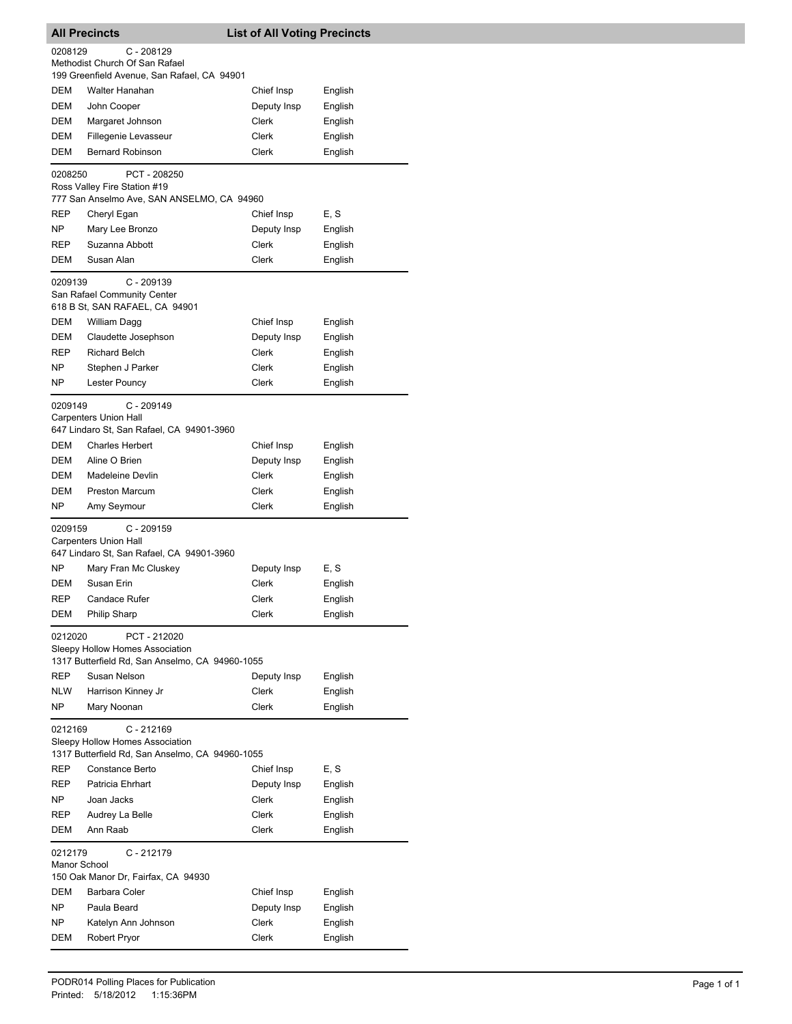|                         | All Precincts                                                                                      | <b>List of All Voting Precincts</b> |         |
|-------------------------|----------------------------------------------------------------------------------------------------|-------------------------------------|---------|
| 0208129                 | $C - 208129$                                                                                       |                                     |         |
|                         | Methodist Church Of San Rafael                                                                     |                                     |         |
|                         | 199 Greenfield Avenue, San Rafael, CA 94901                                                        |                                     |         |
| DEM                     | Walter Hanahan                                                                                     | Chief Insp                          | English |
| DEM                     | John Cooper                                                                                        | Deputy Insp                         | English |
| DEM                     | Margaret Johnson                                                                                   | Clerk                               | English |
| DEM                     | Fillegenie Levasseur                                                                               | Clerk                               | English |
| DEM                     | <b>Bernard Robinson</b>                                                                            | Clerk                               | English |
| 0208250                 | PCT - 208250                                                                                       |                                     |         |
|                         | Ross Valley Fire Station #19<br>777 San Anselmo Ave, SAN ANSELMO, CA 94960                         |                                     |         |
| REP                     | Cheryl Egan                                                                                        | Chief Insp                          | E, S    |
| NP.                     | Mary Lee Bronzo                                                                                    | Deputy Insp                         | English |
| REP                     | Suzanna Abbott                                                                                     | Clerk                               | English |
| DEM                     | Susan Alan                                                                                         | Clerk                               | English |
| 0209139                 | $C - 209139$                                                                                       |                                     |         |
|                         | San Rafael Community Center<br>618 B St, SAN RAFAEL, CA 94901                                      |                                     |         |
| DEM                     | William Dagg                                                                                       | Chief Insp                          | English |
| DEM                     | Claudette Josephson                                                                                | Deputy Insp                         | English |
| REP                     | <b>Richard Belch</b>                                                                               | Clerk                               | English |
| NΡ                      | Stephen J Parker                                                                                   | Clerk                               | English |
| NP                      | Lester Pouncy                                                                                      | Clerk                               | English |
|                         |                                                                                                    |                                     |         |
| 0209149                 | $C - 209149$<br><b>Carpenters Union Hall</b><br>647 Lindaro St, San Rafael, CA 94901-3960          |                                     |         |
| DEM                     | <b>Charles Herbert</b>                                                                             | Chief Insp                          | English |
| DEM                     | Aline O Brien                                                                                      | Deputy Insp                         | English |
| DEM                     | Madeleine Devlin                                                                                   | Clerk                               | English |
| DEM                     | <b>Preston Marcum</b>                                                                              | Clerk                               | English |
| NP                      | Amy Seymour                                                                                        | Clerk                               | English |
| 0209159                 | $C - 209159$                                                                                       |                                     |         |
|                         | <b>Carpenters Union Hall</b><br>647 Lindaro St, San Rafael, CA 94901-3960                          |                                     |         |
| NP                      | Mary Fran Mc Cluskey                                                                               | Deputy Insp                         | E, S    |
| DEM                     | Susan Erin                                                                                         | Clerk                               | English |
| REP                     | <b>Candace Rufer</b>                                                                               | Clerk                               | English |
| DEM                     | <b>Philip Sharp</b>                                                                                | Clerk                               | English |
| 0212020                 |                                                                                                    |                                     |         |
|                         | PCT - 212020<br>Sleepy Hollow Homes Association<br>1317 Butterfield Rd, San Anselmo, CA 94960-1055 |                                     |         |
| REP                     | Susan Nelson                                                                                       | Deputy Insp                         | English |
| NLW                     | Harrison Kinney Jr                                                                                 | Clerk                               | English |
| NP.                     | Mary Noonan                                                                                        | Clerk                               | English |
| 0212169                 | $C - 212169$<br>Sleepy Hollow Homes Association<br>1317 Butterfield Rd, San Anselmo, CA 94960-1055 |                                     |         |
| REP                     | Constance Berto                                                                                    | Chief Insp                          | E, S    |
| REP                     | Patricia Ehrhart                                                                                   | Deputy Insp                         | English |
| NP.                     | Joan Jacks                                                                                         | Clerk                               | English |
| REP                     | Audrey La Belle                                                                                    | Clerk                               | English |
| DEM                     | Ann Raab                                                                                           | Clerk                               | English |
|                         |                                                                                                    |                                     |         |
| 0212179<br>Manor School | $C - 212179$<br>150 Oak Manor Dr, Fairfax, CA 94930                                                |                                     |         |
| DEM                     | Barbara Coler                                                                                      | Chief Insp                          | English |
| NΡ                      | Paula Beard                                                                                        | Deputy Insp                         | English |
| NΡ                      | Katelyn Ann Johnson                                                                                | Clerk                               | English |
| DEM                     | <b>Robert Pryor</b>                                                                                | Clerk                               | English |
|                         |                                                                                                    |                                     |         |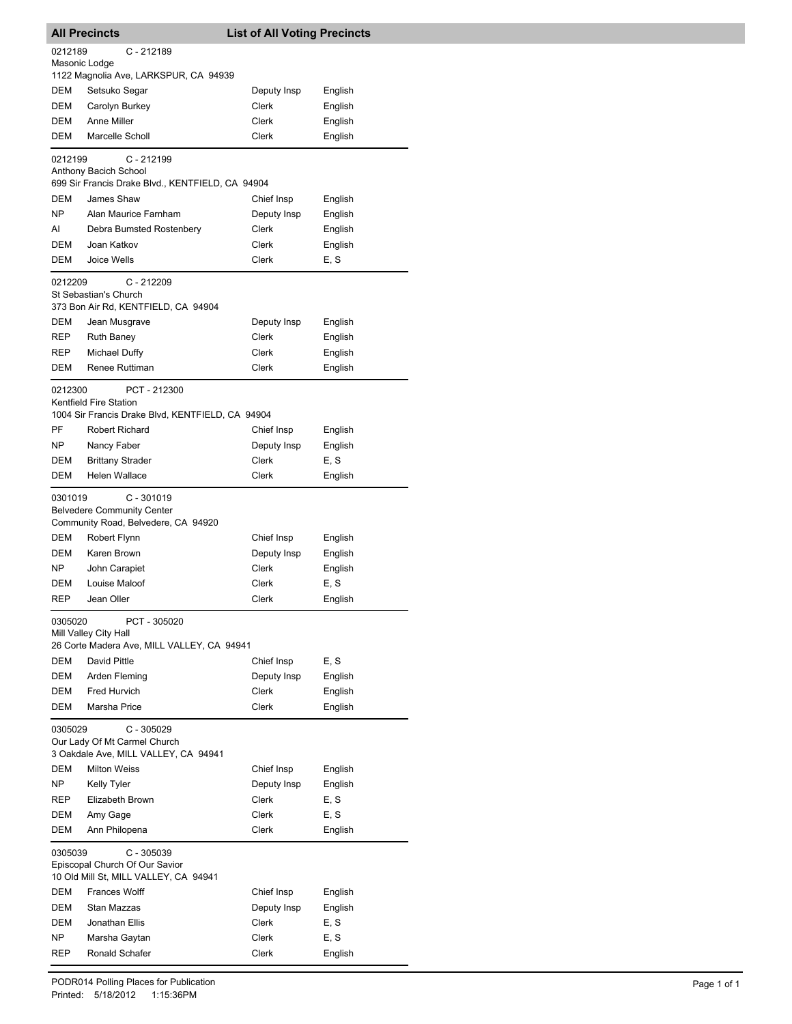| <b>All Precincts</b><br><b>List of All Voting Precincts</b> |                                                                                                   |             |                 |
|-------------------------------------------------------------|---------------------------------------------------------------------------------------------------|-------------|-----------------|
| 0212189<br>Masonic Lodge                                    | $C - 212189$                                                                                      |             |                 |
|                                                             | 1122 Magnolia Ave, LARKSPUR, CA 94939                                                             |             |                 |
| DEM                                                         | Setsuko Segar                                                                                     | Deputy Insp | English         |
| DEM                                                         | Carolyn Burkey                                                                                    | Clerk       | English         |
| DEM                                                         | Anne Miller                                                                                       | Clerk       | English         |
| DEM                                                         | Marcelle Scholl                                                                                   | Clerk       | English         |
| 0212199                                                     | C - 212199<br>Anthony Bacich School<br>699 Sir Francis Drake Blvd., KENTFIELD, CA 94904           |             |                 |
| DEM                                                         | James Shaw                                                                                        | Chief Insp  |                 |
| NP                                                          | Alan Maurice Farnham                                                                              | Deputy Insp | English         |
| AI                                                          |                                                                                                   | Clerk       | English         |
| DEM                                                         | Debra Bumsted Rostenbery<br>Joan Katkov                                                           | Clerk       | English         |
| DEM                                                         | Joice Wells                                                                                       | Clerk       | English<br>E, S |
| 0212209                                                     | $C - 212209$<br>St Sebastian's Church                                                             |             |                 |
|                                                             | 373 Bon Air Rd, KENTFIELD, CA 94904                                                               |             |                 |
| DEM                                                         | Jean Musgrave                                                                                     | Deputy Insp | English         |
| REP                                                         | <b>Ruth Baney</b>                                                                                 | Clerk       | English         |
| REP                                                         | Michael Duffy                                                                                     | Clerk       | English         |
| DEM                                                         | Renee Ruttiman                                                                                    | Clerk       | English         |
| 0212300                                                     | PCT - 212300<br><b>Kentfield Fire Station</b><br>1004 Sir Francis Drake Blvd, KENTFIELD, CA 94904 |             |                 |
| PF                                                          | <b>Robert Richard</b>                                                                             | Chief Insp  | English         |
| NP                                                          | Nancy Faber                                                                                       | Deputy Insp | English         |
| DEM                                                         | <b>Brittany Strader</b>                                                                           | Clerk       | E, S            |
| DEM                                                         | Helen Wallace                                                                                     | Clerk       | English         |
| 0301019                                                     | $C - 301019$<br><b>Belvedere Community Center</b><br>Community Road, Belvedere, CA 94920          |             |                 |
| DEM                                                         | Robert Flynn                                                                                      | Chief Insp  | English         |
| DEM                                                         | Karen Brown                                                                                       | Deputy Insp | English         |
| NP                                                          | John Carapiet                                                                                     | Clerk       | English         |
| DEM                                                         | Louise Maloof                                                                                     | Clerk       | E, S            |
| REP                                                         | Jean Oller                                                                                        | Clerk       | English         |
| 0305020                                                     | PCT - 305020<br>Mill Valley City Hall<br>26 Corte Madera Ave, MILL VALLEY, CA 94941               |             |                 |
| DEM                                                         | David Pittle                                                                                      | Chief Insp  | E.S             |
| DEM                                                         | Arden Fleming                                                                                     | Deputy Insp | English         |
| DEM                                                         | Fred Hurvich                                                                                      | Clerk       | English         |
| DEM                                                         | Marsha Price                                                                                      | Clerk       | English         |
| 0305029                                                     | $C - 305029$<br>Our Lady Of Mt Carmel Church                                                      |             |                 |
|                                                             | 3 Oakdale Ave, MILL VALLEY, CA 94941                                                              |             |                 |
| DEM                                                         | <b>Milton Weiss</b>                                                                               | Chief Insp  | English         |
| NP.                                                         | <b>Kelly Tyler</b>                                                                                | Deputy Insp | English         |
| REP                                                         | Elizabeth Brown                                                                                   | Clerk       | E, S            |
| DEM                                                         | Amy Gage                                                                                          | Clerk       | E, S            |
| DEM                                                         | Ann Philopena                                                                                     | Clerk       | English         |
| 0305039                                                     | C - 305039<br>Episcopal Church Of Our Savior<br>10 Old Mill St, MILL VALLEY, CA 94941             |             |                 |
| DEM                                                         | <b>Frances Wolff</b>                                                                              | Chief Insp  | English         |
| DEM                                                         | Stan Mazzas                                                                                       | Deputy Insp | English         |
| DEM                                                         | Jonathan Ellis                                                                                    | Clerk       | E, S            |
| NP.                                                         | Marsha Gaytan                                                                                     | Clerk       | E, S            |
| REP                                                         | Ronald Schafer                                                                                    | Clerk       | English         |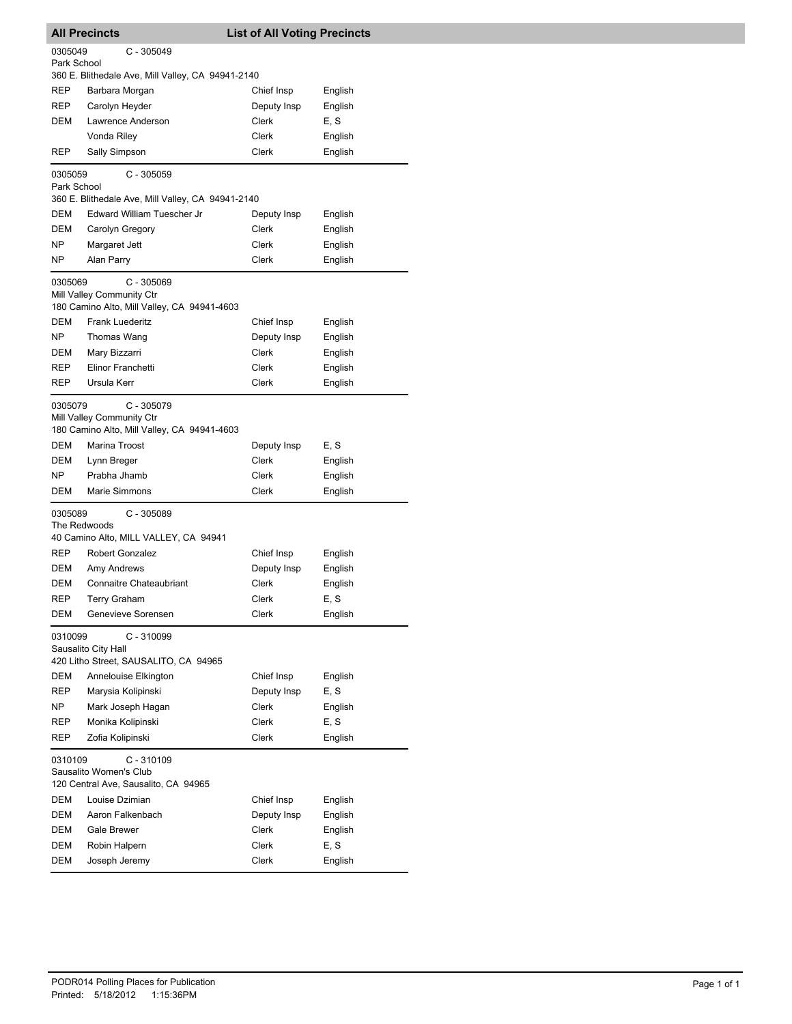|                         | <b>All Precincts</b>                                                                     | <b>List of All Voting Precincts</b> |         |
|-------------------------|------------------------------------------------------------------------------------------|-------------------------------------|---------|
| 0305049<br>Park School  | $C - 305049$                                                                             |                                     |         |
|                         | 360 E. Blithedale Ave, Mill Valley, CA 94941-2140                                        |                                     |         |
| REP                     | Barbara Morgan                                                                           | Chief Insp                          | English |
| REP                     | Carolyn Heyder                                                                           | Deputy Insp                         | English |
| DEM                     | Lawrence Anderson                                                                        | Clerk                               | E, S    |
|                         | Vonda Riley                                                                              | Clerk                               | English |
| REP                     | Sally Simpson                                                                            | Clerk                               | English |
| 0305059<br>Park School  | $C - 305059$                                                                             |                                     |         |
|                         | 360 E. Blithedale Ave, Mill Valley, CA 94941-2140                                        |                                     |         |
| DEM                     | Edward William Tuescher Jr                                                               | Deputy Insp                         | English |
| DEM                     | Carolyn Gregory                                                                          | Clerk                               | English |
| ΝP                      | Margaret Jett                                                                            | Clerk                               | English |
| NP.                     | Alan Parry                                                                               | Clerk                               | English |
| 0305069                 | $C - 305069$<br>Mill Valley Community Ctr<br>180 Camino Alto, Mill Valley, CA 94941-4603 |                                     |         |
| DEM                     | <b>Frank Luederitz</b>                                                                   | Chief Insp                          | English |
| ΝP                      | Thomas Wang                                                                              | Deputy Insp                         | English |
| DEM                     | Mary Bizzarri                                                                            | Clerk                               | English |
| REP                     | Elinor Franchetti                                                                        | Clerk                               | English |
| REP                     | Ursula Kerr                                                                              | Clerk                               | English |
| 0305079                 | $C - 305079$<br>Mill Valley Community Ctr<br>180 Camino Alto, Mill Valley, CA 94941-4603 |                                     |         |
| DEM                     | Marina Troost                                                                            | Deputy Insp                         | E, S    |
| DEM                     | Lynn Breger                                                                              | Clerk                               | English |
| NP.                     | Prabha Jhamb                                                                             | Clerk                               | English |
| DEM                     | <b>Marie Simmons</b>                                                                     | Clerk                               | English |
| 0305089<br>The Redwoods | $C - 305089$<br>40 Camino Alto, MILL VALLEY, CA 94941                                    |                                     |         |
| REP                     | Robert Gonzalez                                                                          | Chief Insp                          | English |
| DEM                     | Amy Andrews                                                                              | Deputy Insp                         | English |
| DEM                     | <b>Connaitre Chateaubriant</b>                                                           | Clerk                               | English |
| REP                     | Terry Graham                                                                             | Clerk                               | E, S    |
| DEM                     | Genevieve Sorensen                                                                       | Clerk                               | English |
| 0310099                 | $C - 310099$<br>Sausalito City Hall<br>420 Litho Street, SAUSALITO, CA 94965             |                                     |         |
| DEM                     | Annelouise Elkington                                                                     | Chief Insp                          | English |
| REP                     | Marysia Kolipinski                                                                       | Deputy Insp                         | E, S    |
| NΡ                      | Mark Joseph Hagan                                                                        | Clerk                               | English |
| REP                     | Monika Kolipinski                                                                        | Clerk                               | E, S    |
| REP                     | Zofia Kolipinski                                                                         | <b>Clerk</b>                        | English |
| 0310109                 | $C - 310109$<br>Sausalito Women's Club<br>120 Central Ave, Sausalito, CA 94965           |                                     |         |
| DEM                     | Louise Dzimian                                                                           | Chief Insp                          | English |
| DEM                     | Aaron Falkenbach                                                                         | Deputy Insp                         | English |
| DEM                     | <b>Gale Brewer</b>                                                                       | Clerk                               | English |
| DEM                     | Robin Halpern                                                                            | Clerk                               | E, S    |
| DEM                     | Joseph Jeremy                                                                            | Clerk                               | English |
|                         |                                                                                          |                                     |         |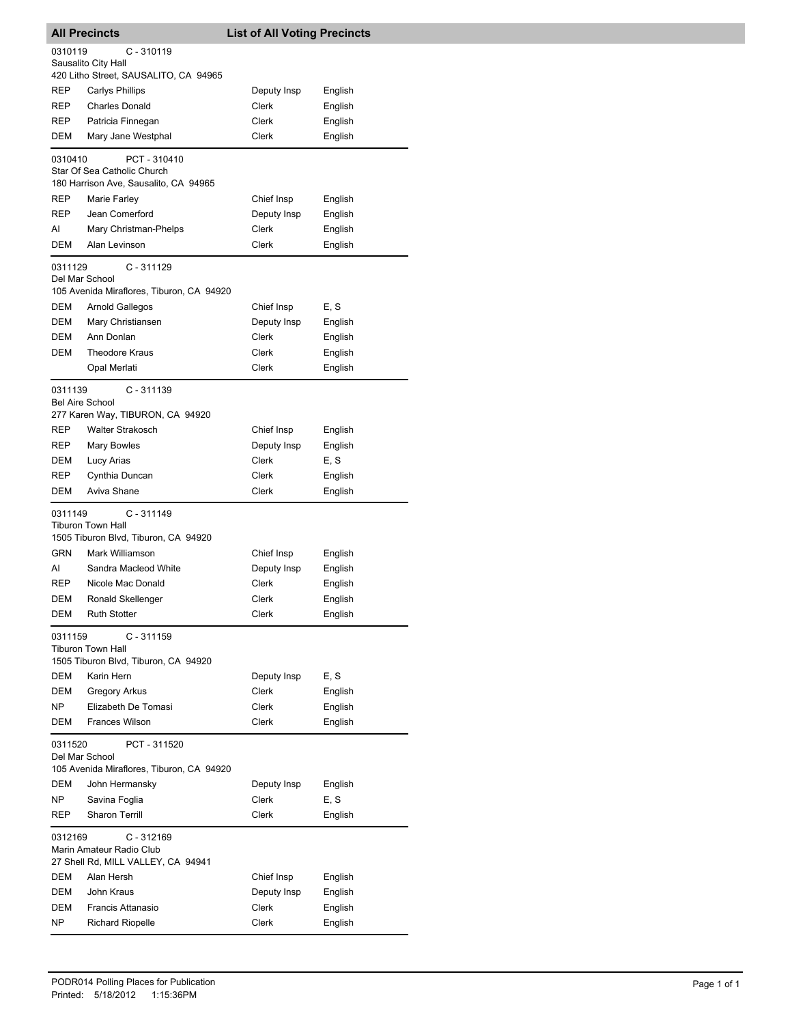|                        | <b>All Precincts</b>                                    | <b>List of All Voting Precincts</b> |             |         |
|------------------------|---------------------------------------------------------|-------------------------------------|-------------|---------|
| 0310119                | C - 310119                                              |                                     |             |         |
|                        | Sausalito City Hall                                     |                                     |             |         |
|                        | 420 Litho Street, SAUSALITO, CA 94965                   |                                     |             |         |
| REP                    | <b>Carlys Phillips</b>                                  |                                     | Deputy Insp | English |
| REP                    | <b>Charles Donald</b>                                   |                                     | Clerk       | English |
| REP                    | Patricia Finnegan                                       |                                     | Clerk       | English |
| DEM                    | Mary Jane Westphal                                      |                                     | Clerk       | English |
| 0310410                | PCT - 310410                                            |                                     |             |         |
|                        | Star Of Sea Catholic Church                             |                                     |             |         |
|                        | 180 Harrison Ave, Sausalito, CA 94965                   |                                     |             |         |
| REP                    | Marie Farley                                            |                                     | Chief Insp  | English |
| REP                    | Jean Comerford                                          |                                     | Deputy Insp | English |
| AI                     | Mary Christman-Phelps                                   |                                     | Clerk       | English |
| DEM                    | Alan Levinson                                           |                                     | Clerk       | English |
| 0311129                | $C - 311129$                                            |                                     |             |         |
| Del Mar School         |                                                         |                                     |             |         |
|                        | 105 Avenida Miraflores, Tiburon, CA 94920               |                                     |             |         |
| DEM                    | Arnold Gallegos                                         |                                     | Chief Insp  | E, S    |
| DEM                    | Mary Christiansen                                       |                                     | Deputy Insp | English |
| DEM                    | Ann Donlan                                              |                                     | Clerk       | English |
| <b>DEM</b>             | <b>Theodore Kraus</b>                                   |                                     | Clerk       | English |
|                        | Opal Merlati                                            |                                     | Clerk       | English |
| 0311139                | $C - 311139$                                            |                                     |             |         |
| <b>Bel Aire School</b> |                                                         |                                     |             |         |
|                        | 277 Karen Way, TIBURON, CA 94920                        |                                     |             |         |
| REP                    | <b>Walter Strakosch</b>                                 |                                     | Chief Insp  | English |
| REP                    | Mary Bowles                                             |                                     | Deputy Insp | English |
| DEM                    | Lucy Arias                                              |                                     | Clerk       | E, S    |
| REP                    | Cynthia Duncan                                          |                                     | Clerk       | English |
| DEM                    | Aviva Shane                                             |                                     | Clerk       | English |
| 0311149                | C - 311149                                              |                                     |             |         |
|                        | <b>Tiburon Town Hall</b>                                |                                     |             |         |
| <b>GRN</b>             | 1505 Tiburon Blvd, Tiburon, CA 94920<br>Mark Williamson |                                     |             |         |
|                        | Sandra Macleod White                                    |                                     | Chief Insp  | English |
| AI                     |                                                         |                                     | Deputy Insp | English |
| REP                    | Nicole Mac Donald                                       |                                     | Clerk       | English |
| DEM                    | Ronald Skellenger                                       |                                     | Clerk       | English |
| DEM                    | <b>Ruth Stotter</b>                                     |                                     | Clerk       | English |
| 0311159                | $C - 311159$                                            |                                     |             |         |
|                        | <b>Tiburon Town Hall</b>                                |                                     |             |         |
|                        | 1505 Tiburon Blvd, Tiburon, CA 94920                    |                                     |             |         |
| DEM                    | Karin Hern                                              |                                     | Deputy Insp | E, S    |
| DEM                    | Gregory Arkus                                           |                                     | Clerk       | English |
| NP.                    | Elizabeth De Tomasi<br>Frances Wilson                   |                                     | Clerk       | English |
| DEM                    |                                                         |                                     | Clerk       | English |
| 0311520                | PCT - 311520                                            |                                     |             |         |
| Del Mar School         |                                                         |                                     |             |         |
|                        | 105 Avenida Miraflores, Tiburon, CA 94920               |                                     |             |         |
| DEM                    | John Hermansky                                          |                                     | Deputy Insp | English |
| NP.                    | Savina Foglia                                           |                                     | Clerk       | E, S    |
| REP                    | <b>Sharon Terrill</b>                                   |                                     | Clerk       | English |
| 0312169                | $C - 312169$                                            |                                     |             |         |
|                        | Marin Amateur Radio Club                                |                                     |             |         |
|                        | 27 Shell Rd, MILL VALLEY, CA 94941                      |                                     |             |         |
| DEM                    | Alan Hersh                                              |                                     | Chief Insp  | English |
| DEM                    | John Kraus                                              |                                     | Deputy Insp | English |
| DEM                    | Francis Attanasio                                       |                                     | Clerk       | English |
| NΡ                     | <b>Richard Riopelle</b>                                 |                                     | Clerk       | English |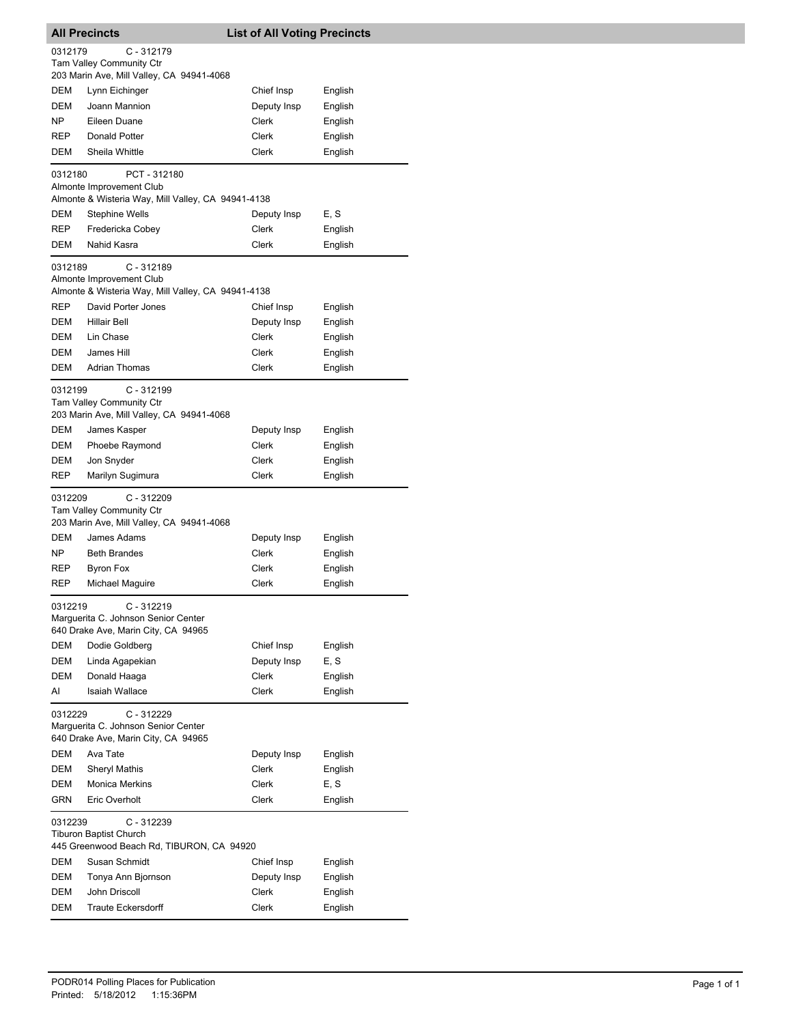| <b>List of All Voting Precincts</b><br><b>All Precincts</b> |                                                                                                                      |              |         |
|-------------------------------------------------------------|----------------------------------------------------------------------------------------------------------------------|--------------|---------|
| 0312179                                                     | $C - 312179$                                                                                                         |              |         |
|                                                             | <b>Tam Valley Community Ctr</b>                                                                                      |              |         |
|                                                             | 203 Marin Ave, Mill Valley, CA 94941-4068                                                                            |              |         |
| DEM                                                         | Lynn Eichinger                                                                                                       | Chief Insp   | English |
| <b>DEM</b>                                                  | Joann Mannion                                                                                                        | Deputy Insp  | English |
| NP                                                          | Eileen Duane                                                                                                         | Clerk        | English |
| REP                                                         | Donald Potter                                                                                                        | Clerk        | English |
| DEM                                                         | Sheila Whittle                                                                                                       | Clerk        | English |
| 0312180                                                     | PCT - 312180<br>Almonte Improvement Club<br>Almonte & Wisteria Way, Mill Valley, CA 94941-4138                       |              |         |
| DEM                                                         | <b>Stephine Wells</b>                                                                                                | Deputy Insp  | E, S    |
| REP                                                         | Fredericka Cobey                                                                                                     | Clerk        | English |
| DEM                                                         | Nahid Kasra                                                                                                          | Clerk        | English |
| 0312189<br><b>REP</b>                                       | $C - 312189$<br>Almonte Improvement Club<br>Almonte & Wisteria Way, Mill Valley, CA 94941-4138<br>David Porter Jones | Chief Insp   | English |
| <b>DEM</b>                                                  | <b>Hillair Bell</b>                                                                                                  | Deputy Insp  | English |
| DEM                                                         | Lin Chase                                                                                                            | <b>Clerk</b> | English |
| DEM                                                         | James Hill                                                                                                           | Clerk        | English |
| DEM                                                         | <b>Adrian Thomas</b>                                                                                                 | Clerk        | English |
|                                                             |                                                                                                                      |              |         |
| 0312199                                                     | $C - 312199$<br>Tam Valley Community Ctr<br>203 Marin Ave, Mill Valley, CA 94941-4068                                |              |         |
| DEM                                                         | James Kasper                                                                                                         | Deputy Insp  | English |
| DEM                                                         | Phoebe Raymond                                                                                                       | Clerk        | English |
| DEM                                                         | Jon Snyder                                                                                                           | Clerk        | English |
| REP                                                         | Marilyn Sugimura                                                                                                     | Clerk        | English |
| 0312209                                                     | $C - 312209$<br><b>Tam Valley Community Ctr</b><br>203 Marin Ave, Mill Valley, CA 94941-4068                         |              |         |
| DEM                                                         | James Adams                                                                                                          | Deputy Insp  | English |
| NP                                                          | <b>Beth Brandes</b>                                                                                                  | Clerk        | English |
| REP                                                         | <b>Byron Fox</b>                                                                                                     | Clerk        | English |
| REP                                                         | Michael Maguire                                                                                                      | Clerk        | English |
| 0312219                                                     | C - 312219<br>Marguerita C. Johnson Senior Center                                                                    |              |         |
|                                                             | 640 Drake Ave, Marin City, CA 94965                                                                                  |              |         |
| DEM                                                         | Dodie Goldberg                                                                                                       | Chief Insp   | English |
| DEM                                                         | Linda Agapekian                                                                                                      | Deputy Insp  | E, S    |
| DEM                                                         | Donald Haaga                                                                                                         | <b>Clerk</b> | English |
| AI                                                          | <b>Isaiah Wallace</b>                                                                                                | Clerk        | English |
| 0312229                                                     | $C - 312229$<br>Marguerita C. Johnson Senior Center                                                                  |              |         |
|                                                             | 640 Drake Ave, Marin City, CA 94965                                                                                  |              |         |
| DEM                                                         | Ava Tate                                                                                                             | Deputy Insp  | English |
| DEM                                                         | <b>Sheryl Mathis</b>                                                                                                 | Clerk        | English |
| DEM                                                         | <b>Monica Merkins</b>                                                                                                | Clerk        | E, S    |
| <b>GRN</b>                                                  | Eric Overholt                                                                                                        | Clerk        | English |
| 0312239                                                     | $C - 312239$<br>Tiburon Baptist Church<br>445 Greenwood Beach Rd, TIBURON, CA 94920                                  |              |         |
| DEM                                                         | Susan Schmidt                                                                                                        | Chief Insp   | English |
| DEM                                                         | Tonya Ann Bjornson                                                                                                   | Deputy Insp  | English |
| DEM                                                         | John Driscoll                                                                                                        | Clerk        | English |
| DEM                                                         | <b>Traute Eckersdorff</b>                                                                                            | Clerk        | English |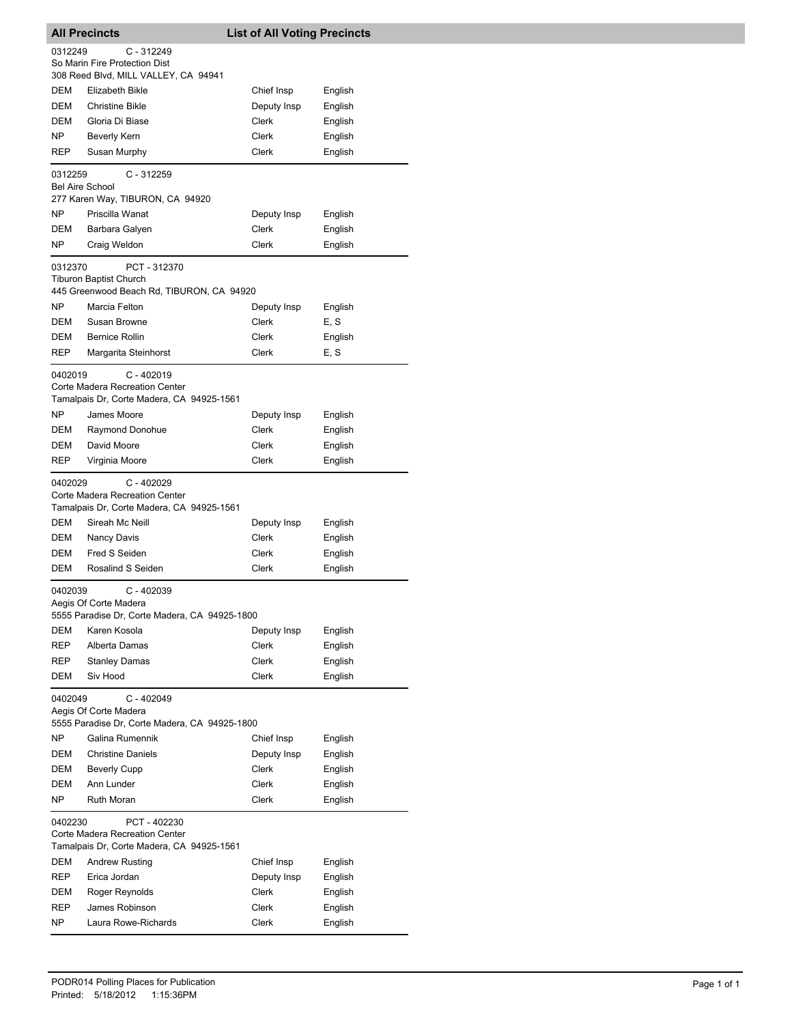|                        | <b>All Precincts</b>                                                                        | <b>List of All Voting Precincts</b> |         |
|------------------------|---------------------------------------------------------------------------------------------|-------------------------------------|---------|
| 0312249                | $C - 312249$                                                                                |                                     |         |
|                        | So Marin Fire Protection Dist                                                               |                                     |         |
|                        | 308 Reed Blvd, MILL VALLEY, CA 94941                                                        |                                     |         |
| DEM                    | Elizabeth Bikle                                                                             | Chief Insp                          | English |
| <b>DEM</b>             | <b>Christine Bikle</b>                                                                      | Deputy Insp                         | English |
| DEM                    | Gloria Di Biase                                                                             | Clerk                               | English |
| NP                     | <b>Beverly Kern</b>                                                                         | Clerk                               | English |
| REP                    | Susan Murphy                                                                                | Clerk                               | English |
| 0312259                | C - 312259                                                                                  |                                     |         |
| <b>Bel Aire School</b> |                                                                                             |                                     |         |
|                        | 277 Karen Way, TIBURON, CA 94920                                                            |                                     |         |
| NP                     | Priscilla Wanat                                                                             | Deputy Insp                         | English |
| DEM                    | Barbara Galyen                                                                              | Clerk                               | English |
| NP                     | Craig Weldon                                                                                | Clerk                               | English |
| 0312370                | PCT - 312370<br><b>Tiburon Baptist Church</b><br>445 Greenwood Beach Rd, TIBURON, CA 94920  |                                     |         |
| NP                     | Marcia Felton                                                                               | Deputy Insp                         | English |
| DEM                    | Susan Browne                                                                                | Clerk                               | E, S    |
| DEM                    | <b>Bernice Rollin</b>                                                                       | Clerk                               | English |
| <b>REP</b>             | Margarita Steinhorst                                                                        | Clerk                               | E, S    |
| 0402019                | $C - 402019$<br>Corte Madera Recreation Center<br>Tamalpais Dr, Corte Madera, CA 94925-1561 |                                     |         |
| NP                     | James Moore                                                                                 | Deputy Insp                         | English |
| DEM                    | Raymond Donohue                                                                             | Clerk                               | English |
| DEM                    | David Moore                                                                                 | Clerk                               | English |
| REP                    | Virginia Moore                                                                              | Clerk                               | English |
| 0402029                | $C - 402029$<br>Corte Madera Recreation Center<br>Tamalpais Dr, Corte Madera, CA 94925-1561 |                                     |         |
| DEM                    | Sireah Mc Neill                                                                             | Deputy Insp                         | English |
| DEM                    | Nancy Davis                                                                                 | Clerk                               | English |
| DEM                    | Fred S Seiden                                                                               | Clerk                               | English |
| DEM                    | Rosalind S Seiden                                                                           | Clerk                               | English |
| 0402039                | $C - 402039$<br>Aegis Of Corte Madera<br>5555 Paradise Dr, Corte Madera, CA 94925-1800      |                                     |         |
| DEM                    | Karen Kosola                                                                                | Deputy Insp                         | English |
| <b>REP</b>             | Alberta Damas                                                                               | Clerk                               | English |
| REP                    | <b>Stanley Damas</b>                                                                        | Clerk                               | English |
| DEM                    | Siv Hood                                                                                    | Clerk                               | English |
| 0402049                | C - 402049<br>Aegis Of Corte Madera<br>5555 Paradise Dr, Corte Madera, CA 94925-1800        |                                     |         |
| NΡ                     | Galina Rumennik                                                                             | Chief Insp                          | English |
| DEM                    | <b>Christine Daniels</b>                                                                    | Deputy Insp                         | English |
| DEM                    | <b>Beverly Cupp</b>                                                                         | Clerk                               | English |
| DEM                    | Ann Lunder                                                                                  | Clerk                               | English |
| NP.                    | Ruth Moran                                                                                  | Clerk                               | English |
| 0402230                | PCT - 402230<br>Corte Madera Recreation Center<br>Tamalpais Dr, Corte Madera, CA 94925-1561 |                                     |         |
| DEM                    | <b>Andrew Rusting</b>                                                                       | Chief Insp                          | English |
| REP                    | Erica Jordan                                                                                | Deputy Insp                         | English |
| DEM                    | Roger Reynolds                                                                              | Clerk                               | English |
| REP                    | James Robinson                                                                              | Clerk                               | English |
| NΡ                     | Laura Rowe-Richards                                                                         | Clerk                               | English |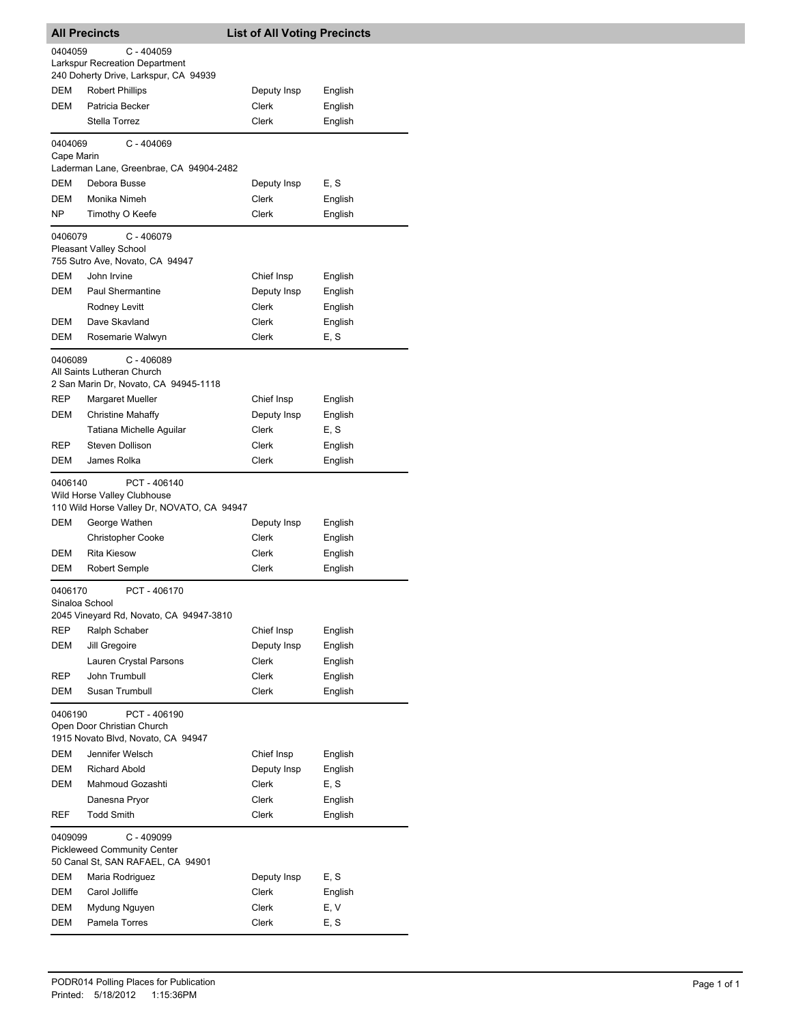|                           | <b>All Precincts</b>                                                                           | <b>List of All Voting Precincts</b> |                    |  |
|---------------------------|------------------------------------------------------------------------------------------------|-------------------------------------|--------------------|--|
| 0404059                   | C - 404059<br><b>Larkspur Recreation Department</b><br>240 Doherty Drive, Larkspur, CA 94939   |                                     |                    |  |
| DEM                       | <b>Robert Phillips</b>                                                                         | Deputy Insp                         | English            |  |
| DEM                       | Patricia Becker                                                                                | Clerk                               | English            |  |
|                           | Stella Torrez                                                                                  | Clerk                               | English            |  |
| 0404069<br>Cape Marin     | $C - 404069$                                                                                   |                                     |                    |  |
|                           | Laderman Lane, Greenbrae, CA 94904-2482                                                        |                                     |                    |  |
| DEM                       | Debora Busse                                                                                   | Deputy Insp                         | E, S               |  |
| <b>DEM</b>                | Monika Nimeh                                                                                   | Clerk                               | English            |  |
| NΡ                        | Timothy O Keefe                                                                                | Clerk                               | English            |  |
| 0406079                   | C - 406079<br><b>Pleasant Valley School</b><br>755 Sutro Ave, Novato, CA 94947                 |                                     |                    |  |
| DEM                       | John Irvine                                                                                    | Chief Insp                          | English            |  |
| DEM                       | Paul Shermantine                                                                               | Deputy Insp                         | English            |  |
|                           | Rodney Levitt                                                                                  | Clerk                               | English            |  |
| DEM                       | Dave Skavland                                                                                  | Clerk                               | English            |  |
| DEM                       | Rosemarie Walwyn                                                                               | Clerk                               | E, S               |  |
|                           | 0406089<br>$C - 406089$<br>All Saints Lutheran Church<br>2 San Marin Dr, Novato, CA 94945-1118 |                                     |                    |  |
| REP                       | <b>Margaret Mueller</b>                                                                        | Chief Insp                          | English            |  |
| DEM                       | <b>Christine Mahaffy</b>                                                                       | Deputy Insp                         | English            |  |
|                           | Tatiana Michelle Aguilar                                                                       | Clerk                               | E, S               |  |
| <b>REP</b>                | Steven Dollison                                                                                | Clerk                               | English            |  |
| DEM                       | James Rolka                                                                                    | Clerk                               | English            |  |
| 0406140                   | PCT-406140<br>Wild Horse Valley Clubhouse<br>110 Wild Horse Valley Dr, NOVATO, CA 94947        |                                     |                    |  |
| DEM                       | George Wathen                                                                                  | Deputy Insp                         | English            |  |
|                           | <b>Christopher Cooke</b>                                                                       | Clerk                               | English            |  |
| DEM<br>DEM                | <b>Rita Kiesow</b><br>Robert Semple                                                            | Clerk<br><b>Clerk</b>               | English<br>English |  |
|                           |                                                                                                |                                     |                    |  |
| 0406170<br>Sinaloa School | PCT - 406170<br>2045 Vineyard Rd, Novato, CA 94947-3810                                        |                                     |                    |  |
| <b>REP</b>                | Ralph Schaber                                                                                  | Chief Insp                          | English            |  |
| DEM                       | Jill Gregoire                                                                                  | Deputy Insp                         | English            |  |
|                           | Lauren Crystal Parsons                                                                         | Clerk                               | English            |  |
| REP                       | John Trumbull                                                                                  | Clerk                               | English            |  |
| DEM                       | Susan Trumbull                                                                                 | Clerk                               | English            |  |
| 0406190                   | PCT-406190<br>Open Door Christian Church<br>1915 Novato Blvd, Novato, CA 94947                 |                                     |                    |  |
| DEM                       | Jennifer Welsch                                                                                | Chief Insp                          | English            |  |
| DEM                       | <b>Richard Abold</b>                                                                           | Deputy Insp                         | English            |  |
| DEM                       | Mahmoud Gozashti                                                                               | Clerk                               | E, S               |  |
|                           | Danesna Pryor                                                                                  | Clerk                               | English            |  |
| REF                       | <b>Todd Smith</b>                                                                              | Clerk                               | English            |  |
| 0409099                   | C - 409099<br><b>Pickleweed Community Center</b><br>50 Canal St, SAN RAFAEL, CA 94901          |                                     |                    |  |
| DEM                       | Maria Rodriguez                                                                                | Deputy Insp                         | E, S               |  |
| DEM                       | Carol Jolliffe                                                                                 | Clerk                               | English            |  |
| DEM                       | Mydung Nguyen                                                                                  | Clerk                               | E, V               |  |
| DEM                       | Pamela Torres                                                                                  | Clerk                               | E, S               |  |
|                           |                                                                                                |                                     |                    |  |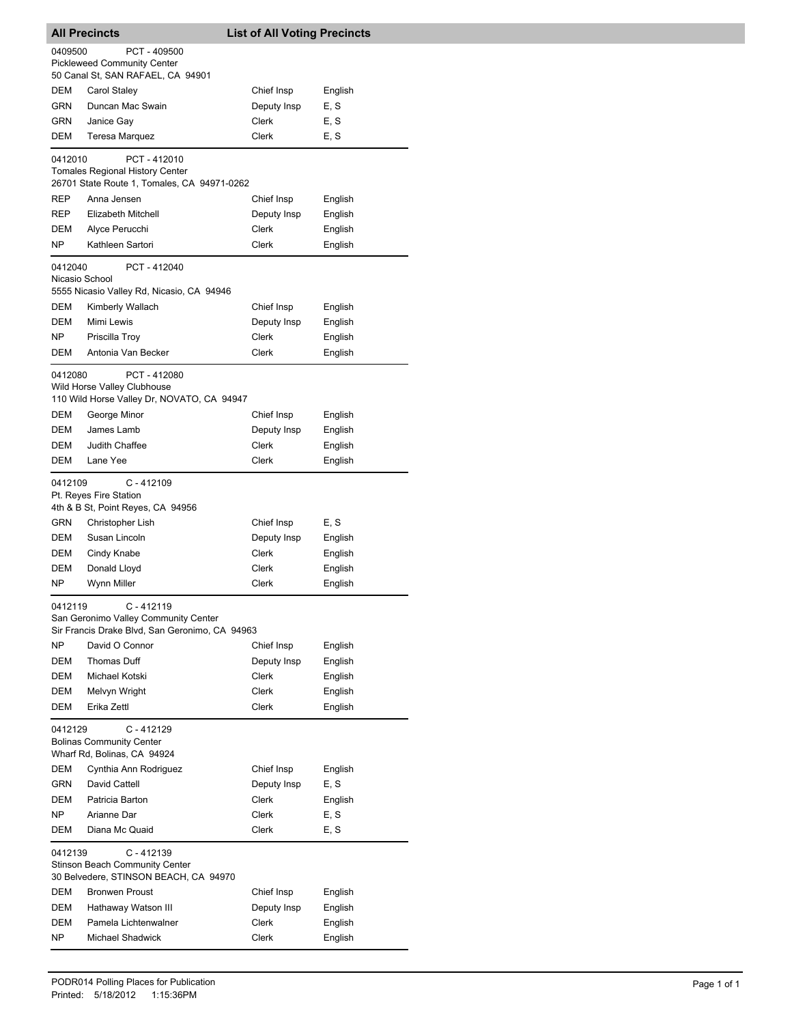| <b>All Precincts</b>                                                                                            |                                                                                                    | <b>List of All Voting Precincts</b> |                    |  |  |
|-----------------------------------------------------------------------------------------------------------------|----------------------------------------------------------------------------------------------------|-------------------------------------|--------------------|--|--|
| 0409500                                                                                                         | PCT - 409500                                                                                       |                                     |                    |  |  |
|                                                                                                                 | <b>Pickleweed Community Center</b>                                                                 |                                     |                    |  |  |
|                                                                                                                 | 50 Canal St, SAN RAFAEL, CA 94901                                                                  |                                     |                    |  |  |
| DEM                                                                                                             | Carol Staley                                                                                       | Chief Insp                          | English            |  |  |
| GRN.                                                                                                            | Duncan Mac Swain                                                                                   | Deputy Insp                         | E, S               |  |  |
| GRN                                                                                                             | Janice Gay                                                                                         | Clerk                               | E, S               |  |  |
| DEM                                                                                                             | <b>Teresa Marquez</b>                                                                              | Clerk                               | E, S               |  |  |
| 0412010                                                                                                         | PCT-412010                                                                                         |                                     |                    |  |  |
|                                                                                                                 | <b>Tomales Regional History Center</b><br>26701 State Route 1, Tomales, CA 94971-0262              |                                     |                    |  |  |
| REP                                                                                                             | Anna Jensen                                                                                        | Chief Insp                          | English            |  |  |
| REP                                                                                                             | Elizabeth Mitchell                                                                                 | Deputy Insp                         | English            |  |  |
| DEM                                                                                                             | Alyce Perucchi                                                                                     | Clerk                               | English            |  |  |
| NΡ                                                                                                              | Kathleen Sartori                                                                                   | Clerk                               | English            |  |  |
| 0412040<br>Nicasio School                                                                                       | PCT-412040<br>5555 Nicasio Valley Rd, Nicasio, CA 94946                                            |                                     |                    |  |  |
| <b>DEM</b>                                                                                                      | Kimberly Wallach                                                                                   | Chief Insp                          | English            |  |  |
| DEM                                                                                                             | Mimi Lewis                                                                                         | Deputy Insp                         | English            |  |  |
| NP.                                                                                                             | Priscilla Troy                                                                                     | Clerk                               | English            |  |  |
| DEM                                                                                                             | Antonia Van Becker                                                                                 | Clerk                               | English            |  |  |
|                                                                                                                 | PCT-412080<br>0412080<br>Wild Horse Valley Clubhouse<br>110 Wild Horse Valley Dr, NOVATO, CA 94947 |                                     |                    |  |  |
| DEM                                                                                                             | George Minor                                                                                       | Chief Insp                          | English            |  |  |
| DEM                                                                                                             | James Lamb                                                                                         | Deputy Insp                         | English            |  |  |
| DEM                                                                                                             | Judith Chaffee                                                                                     | Clerk                               | English            |  |  |
| DEM                                                                                                             | Lane Yee                                                                                           | Clerk                               | English            |  |  |
|                                                                                                                 | $C - 412109$<br>0412109<br>Pt. Reyes Fire Station<br>4th & B St, Point Reyes, CA 94956             |                                     |                    |  |  |
| GRN                                                                                                             | Christopher Lish                                                                                   | Chief Insp                          | E.S                |  |  |
| DEM                                                                                                             | Susan Lincoln                                                                                      | Deputy Insp                         | English            |  |  |
| DEM                                                                                                             | Cindy Knabe                                                                                        | Clerk                               | English            |  |  |
| DEM                                                                                                             | Donald Lloyd                                                                                       | Clerk                               | English            |  |  |
| NP.                                                                                                             | Wynn Miller                                                                                        | Clerk                               | English            |  |  |
| 0412119<br>C - 412119<br>San Geronimo Valley Community Center<br>Sir Francis Drake Blvd, San Geronimo, CA 94963 |                                                                                                    |                                     |                    |  |  |
| NΡ                                                                                                              | David O Connor                                                                                     | Chief Insp                          | English            |  |  |
| DEM                                                                                                             | Thomas Duff                                                                                        | Deputy Insp                         | English            |  |  |
| DEM                                                                                                             | Michael Kotski                                                                                     | Clerk                               | English            |  |  |
| DEM                                                                                                             | Melvyn Wright                                                                                      | Clerk                               | English            |  |  |
| DEM                                                                                                             | Erika Zettl                                                                                        | Clerk                               | English            |  |  |
| 0412129<br>$C - 412129$<br><b>Bolinas Community Center</b><br>Wharf Rd, Bolinas, CA 94924                       |                                                                                                    |                                     |                    |  |  |
| DEM                                                                                                             | Cynthia Ann Rodriguez                                                                              | Chief Insp                          | English            |  |  |
| GRN                                                                                                             | David Cattell                                                                                      | Deputy Insp                         | E, S               |  |  |
| DEM                                                                                                             | Patricia Barton                                                                                    | Clerk                               | English            |  |  |
| NP.                                                                                                             | Arianne Dar                                                                                        | Clerk                               | E, S               |  |  |
| DEM                                                                                                             | Diana Mc Quaid                                                                                     | Clerk                               | E, S               |  |  |
| $C - 412139$<br>0412139<br><b>Stinson Beach Community Center</b><br>30 Belvedere, STINSON BEACH, CA 94970       |                                                                                                    |                                     |                    |  |  |
| DEM<br>DEM                                                                                                      | <b>Bronwen Proust</b>                                                                              | Chief Insp                          | English            |  |  |
| <b>DEM</b>                                                                                                      | Hathaway Watson III<br>Pamela Lichtenwalner                                                        | Deputy Insp<br>Clerk                | English            |  |  |
| NP.                                                                                                             | <b>Michael Shadwick</b>                                                                            | Clerk                               | English<br>English |  |  |
|                                                                                                                 |                                                                                                    |                                     |                    |  |  |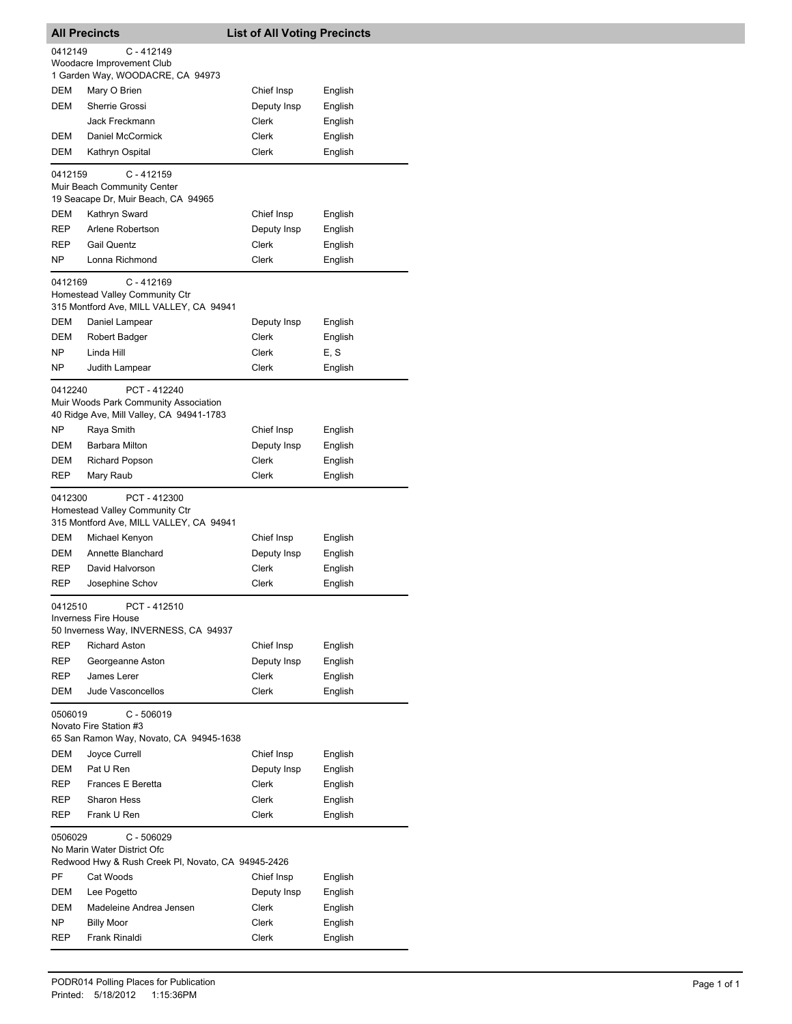|            | <b>All Precincts</b>                                                                              | <b>List of All Voting Precincts</b> |                    |
|------------|---------------------------------------------------------------------------------------------------|-------------------------------------|--------------------|
| 0412149    | $C - 412149$                                                                                      |                                     |                    |
|            | Woodacre Improvement Club                                                                         |                                     |                    |
|            | 1 Garden Way, WOODACRE, CA 94973                                                                  |                                     |                    |
| DEM        | Mary O Brien                                                                                      | Chief Insp                          | English            |
| DEM        | Sherrie Grossi                                                                                    | Deputy Insp                         | English            |
|            | Jack Freckmann                                                                                    | Clerk                               | English            |
| DEM        | Daniel McCormick                                                                                  | Clerk                               | English            |
| DEM        | Kathryn Ospital                                                                                   | Clerk                               | English            |
| 0412159    | $C - 412159$<br>Muir Beach Community Center<br>19 Seacape Dr, Muir Beach, CA 94965                |                                     |                    |
| DEM        | Kathryn Sward                                                                                     | Chief Insp                          | English            |
| REP        | Arlene Robertson                                                                                  | Deputy Insp                         | English            |
| REP        | <b>Gail Quentz</b>                                                                                | Clerk                               | English            |
| NP.        | Lonna Richmond                                                                                    | Clerk                               | English            |
| 0412169    | $C - 412169$<br>Homestead Valley Community Ctr<br>315 Montford Ave, MILL VALLEY, CA 94941         |                                     |                    |
| DEM        | Daniel Lampear                                                                                    | Deputy Insp                         | English            |
| DEM        | Robert Badger                                                                                     | Clerk                               | English            |
| NΡ         | Linda Hill                                                                                        | Clerk                               | E, S               |
| NP.        | Judith Lampear                                                                                    | Clerk                               | English            |
| 0412240    | PCT - 412240<br>Muir Woods Park Community Association<br>40 Ridge Ave, Mill Valley, CA 94941-1783 |                                     |                    |
| NP         | Raya Smith                                                                                        | Chief Insp                          | English            |
| DEM        | Barbara Milton                                                                                    | Deputy Insp                         | English            |
| DEM        | <b>Richard Popson</b>                                                                             | Clerk                               | English            |
| REP        | Mary Raub                                                                                         | Clerk                               | English            |
| 0412300    | PCT-412300<br>Homestead Valley Community Ctr<br>315 Montford Ave, MILL VALLEY, CA 94941           |                                     |                    |
| DEM        |                                                                                                   | Chief Insp                          | English            |
|            | Michael Kenyon                                                                                    |                                     |                    |
| <b>DEM</b> | Annette Blanchard                                                                                 | Deputy Insp                         | English            |
| REP        | David Halvorson                                                                                   | Clerk                               | English            |
| REP        | Josephine Schov                                                                                   | Clerk                               | English            |
| 0412510    | PCT-412510<br><b>Inverness Fire House</b><br>50 Inverness Way, INVERNESS, CA 94937                |                                     |                    |
| REP        | <b>Richard Aston</b>                                                                              | Chief Insp                          | English            |
| REP        | Georgeanne Aston                                                                                  | Deputy Insp                         | English            |
| REP        | James Lerer                                                                                       | <b>Clerk</b>                        | English            |
| DEM        | Jude Vasconcellos                                                                                 | <b>Clerk</b>                        | English            |
| 0506019    | $C - 506019$<br>Novato Fire Station #3<br>65 San Ramon Way, Novato, CA 94945-1638                 |                                     |                    |
| DEM        | Joyce Currell                                                                                     | Chief Insp                          | English            |
| DEM        | Pat U Ren                                                                                         | Deputy Insp                         | English            |
| REP        | Frances E Beretta                                                                                 | Clerk                               | English            |
| REP        | <b>Sharon Hess</b>                                                                                | Clerk                               | English            |
| REP        | Frank U Ren                                                                                       | Clerk                               | English            |
| 0506029    | $C - 506029$<br>No Marin Water District Ofc<br>Redwood Hwy & Rush Creek PI, Novato, CA 94945-2426 |                                     |                    |
| PF         | Cat Woods                                                                                         | Chief Insp                          | English            |
| DEM        | Lee Pogetto                                                                                       | Deputy Insp                         | English            |
| DEM        | Madeleine Andrea Jensen                                                                           | Clerk                               | English            |
| NP.<br>REP | <b>Billy Moor</b><br>Frank Rinaldi                                                                | Clerk<br>Clerk                      | English<br>English |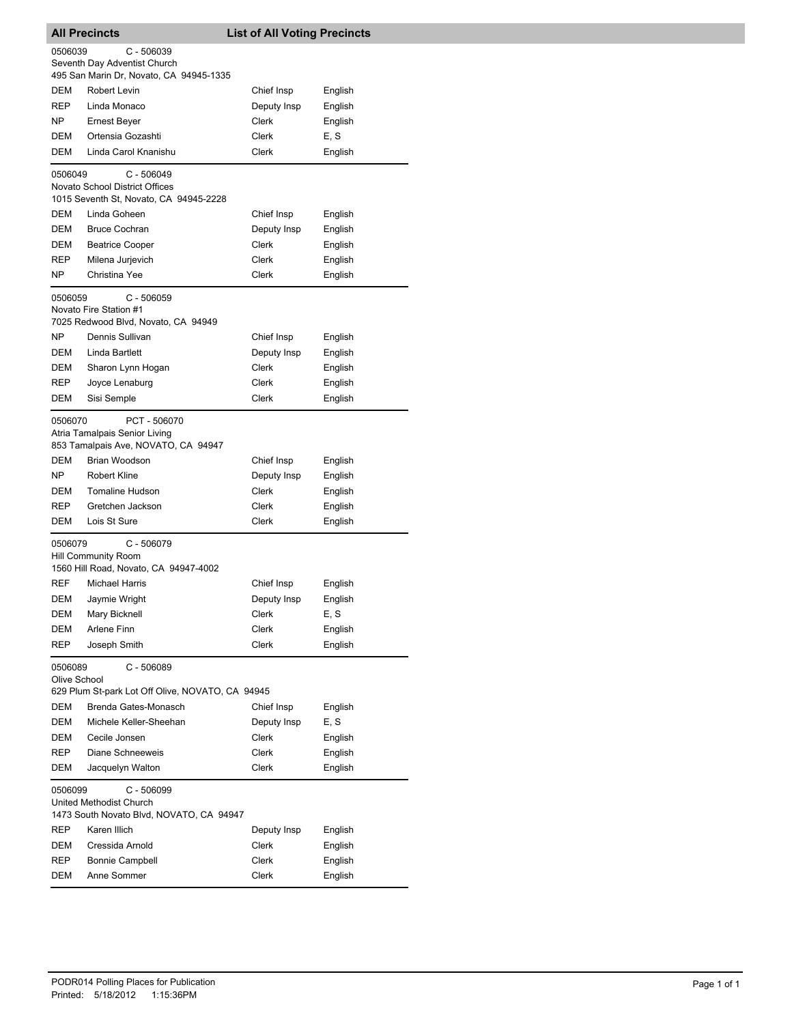| <b>All Precincts</b>    |                                                                                     | <b>List of All Voting Precincts</b> |                 |
|-------------------------|-------------------------------------------------------------------------------------|-------------------------------------|-----------------|
| 0506039                 | C - 506039                                                                          |                                     |                 |
|                         | Seventh Day Adventist Church                                                        |                                     |                 |
|                         | 495 San Marin Dr, Novato, CA 94945-1335                                             |                                     |                 |
| DEM                     | Robert Levin                                                                        | Chief Insp                          | English         |
| <b>REP</b>              | Linda Monaco                                                                        | Deputy Insp                         | English         |
| NP                      | Ernest Beyer                                                                        | Clerk                               | English         |
| DEM                     | Ortensia Gozashti                                                                   | Clerk                               | E, S            |
| DEM                     | Linda Carol Knanishu                                                                | Clerk                               | English         |
| 0506049                 | C - 506049<br>Novato School District Offices                                        |                                     |                 |
|                         | 1015 Seventh St, Novato, CA 94945-2228                                              |                                     |                 |
| DEM                     | Linda Goheen                                                                        | Chief Insp                          | English         |
| DEM                     | <b>Bruce Cochran</b>                                                                | Deputy Insp                         | English         |
| DEM                     | <b>Beatrice Cooper</b>                                                              | Clerk                               | English         |
| <b>REP</b>              | Milena Jurjevich                                                                    | Clerk                               | English         |
| NP.                     | Christina Yee                                                                       | Clerk                               | English         |
| 0506059                 | C - 506059                                                                          |                                     |                 |
|                         | Novato Fire Station #1<br>7025 Redwood Blvd, Novato, CA 94949                       |                                     |                 |
| NP                      | Dennis Sullivan                                                                     | Chief Insp                          | English         |
| DEM                     | Linda Bartlett                                                                      | Deputy Insp                         | English         |
| DEM                     | Sharon Lynn Hogan                                                                   | Clerk                               | English         |
| <b>REP</b>              | Joyce Lenaburg                                                                      | Clerk                               | English         |
| DEM                     | Sisi Semple                                                                         | Clerk                               | English         |
| 0506070                 | PCT - 506070                                                                        |                                     |                 |
|                         | Atria Tamalpais Senior Living                                                       |                                     |                 |
|                         | 853 Tamalpais Ave, NOVATO, CA 94947                                                 |                                     |                 |
| DEM                     | Brian Woodson                                                                       | Chief Insp                          | English         |
| NP                      | <b>Robert Kline</b>                                                                 | Deputy Insp                         | English         |
| DEM                     | <b>Tomaline Hudson</b>                                                              | Clerk                               | English         |
| REP                     | Gretchen Jackson                                                                    | Clerk                               | English         |
| DEM                     | Lois St Sure                                                                        | Clerk                               | English         |
| 0506079                 | $C - 506079$                                                                        |                                     |                 |
|                         | Hill Community Room                                                                 |                                     |                 |
| <b>REF</b>              | 1560 Hill Road, Novato, CA 94947-4002                                               |                                     |                 |
| DEM                     | Michael Harris                                                                      | Chief Insp                          | English         |
|                         | Jaymie Wright<br>Mary Bicknell                                                      | Deputy Insp                         | English         |
| DEM<br>DEM              | Arlene Finn                                                                         | Clerk<br>Clerk                      | E, S<br>English |
| REP                     | Joseph Smith                                                                        | Clerk                               | English         |
|                         |                                                                                     |                                     |                 |
| 0506089<br>Olive School | C - 506089                                                                          |                                     |                 |
|                         | 629 Plum St-park Lot Off Olive, NOVATO, CA 94945                                    |                                     |                 |
| DEM                     | Brenda Gates-Monasch                                                                | Chief Insp                          | English         |
| DEM                     | Michele Keller-Sheehan                                                              | Deputy Insp                         | E, S            |
| DEM                     | Cecile Jonsen                                                                       | Clerk                               | English         |
| REP                     | Diane Schneeweis                                                                    | Clerk                               | English         |
| DEM                     | Jacquelyn Walton                                                                    | Clerk                               | English         |
| 0506099                 | $C - 506099$<br>United Methodist Church<br>1473 South Novato Blvd, NOVATO, CA 94947 |                                     |                 |
| REP                     | Karen Illich                                                                        | Deputy Insp                         | English         |
| DEM                     | Cressida Arnold                                                                     | Clerk                               | English         |
| REP                     | <b>Bonnie Campbell</b>                                                              | Clerk                               | English         |
| DEM                     | Anne Sommer                                                                         | Clerk                               | English         |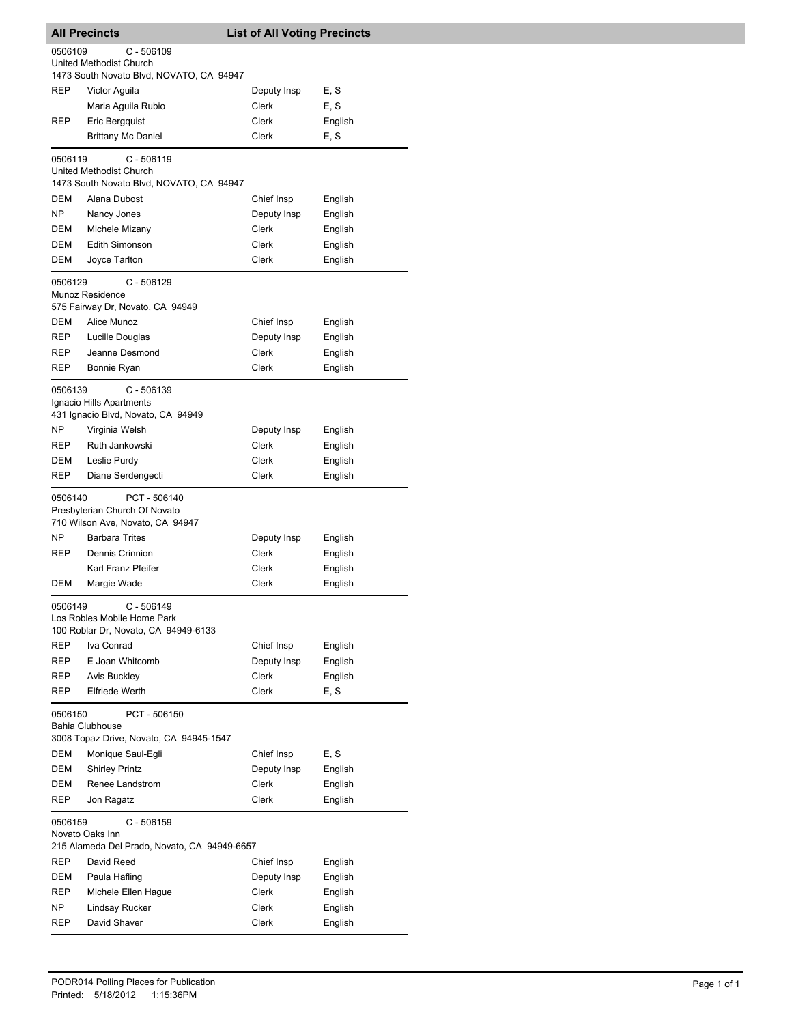| <b>All Precincts</b>                                                                                  |                                                                                     | <b>List of All Voting Precincts</b> |         |  |
|-------------------------------------------------------------------------------------------------------|-------------------------------------------------------------------------------------|-------------------------------------|---------|--|
| 0506109<br>$C - 506109$<br><b>United Methodist Church</b><br>1473 South Novato Blvd, NOVATO, CA 94947 |                                                                                     |                                     |         |  |
| <b>REP</b>                                                                                            | Victor Aguila                                                                       | Deputy Insp                         | E, S    |  |
|                                                                                                       | Maria Aguila Rubio                                                                  | Clerk                               | E, S    |  |
| REP                                                                                                   | Eric Bergquist                                                                      | Clerk                               | English |  |
|                                                                                                       | <b>Brittany Mc Daniel</b>                                                           | Clerk                               | E, S    |  |
|                                                                                                       |                                                                                     |                                     |         |  |
| 0506119                                                                                               | $C - 506119$<br>United Methodist Church<br>1473 South Novato Blvd, NOVATO, CA 94947 |                                     |         |  |
| DEM                                                                                                   | Alana Dubost                                                                        | Chief Insp                          | English |  |
| NP                                                                                                    | Nancy Jones                                                                         | Deputy Insp                         | English |  |
| DEM                                                                                                   | Michele Mizany                                                                      | Clerk                               | English |  |
| DEM                                                                                                   | <b>Edith Simonson</b>                                                               | Clerk                               | English |  |
| DEM                                                                                                   | Joyce Tarlton                                                                       | Clerk                               | English |  |
| 0506129                                                                                               | $C - 506129$<br>Munoz Residence<br>575 Fairway Dr, Novato, CA 94949                 |                                     |         |  |
| DEM                                                                                                   | Alice Munoz                                                                         | Chief Insp                          | English |  |
| REP                                                                                                   | Lucille Douglas                                                                     | Deputy Insp                         | English |  |
| REP                                                                                                   | Jeanne Desmond                                                                      | Clerk                               | English |  |
| REP                                                                                                   | Bonnie Ryan                                                                         | Clerk                               | English |  |
| 0506139                                                                                               | C - 506139<br>Ignacio Hills Apartments<br>431 Ignacio Blvd, Novato, CA 94949        |                                     |         |  |
| NP                                                                                                    | Virginia Welsh                                                                      | Deputy Insp                         | English |  |
| REP                                                                                                   | Ruth Jankowski                                                                      | Clerk                               | English |  |
| DEM                                                                                                   | Leslie Purdy                                                                        | Clerk                               | English |  |
| REP                                                                                                   | Diane Serdengecti                                                                   | Clerk                               | English |  |
| 0506140                                                                                               | PCT - 506140<br>Presbyterian Church Of Novato<br>710 Wilson Ave, Novato, CA 94947   |                                     |         |  |
| NΡ                                                                                                    | <b>Barbara Trites</b>                                                               | Deputy Insp                         | English |  |
| REP                                                                                                   | Dennis Crinnion                                                                     | Clerk                               | English |  |
|                                                                                                       | Karl Franz Pfeifer                                                                  | Clerk                               | English |  |
| DEM                                                                                                   | Margie Wade                                                                         | Clerk                               | English |  |
| 0506149                                                                                               | $C - 506149$<br>Los Robles Mobile Home Park<br>100 Roblar Dr, Novato, CA 94949-6133 |                                     |         |  |
| <b>REP</b>                                                                                            | Iva Conrad                                                                          | Chief Insp                          | English |  |
| REP                                                                                                   | E Joan Whitcomb                                                                     | Deputy Insp                         | English |  |
| REP                                                                                                   | <b>Avis Buckley</b>                                                                 | <b>Clerk</b>                        | English |  |
| REP                                                                                                   | <b>Elfriede Werth</b>                                                               | Clerk                               | E, S    |  |
| 0506150                                                                                               | PCT - 506150<br><b>Bahia Clubhouse</b><br>3008 Topaz Drive, Novato, CA 94945-1547   |                                     |         |  |
| DEM                                                                                                   | Monique Saul-Egli                                                                   | Chief Insp                          | E, S    |  |
| DEM                                                                                                   | <b>Shirley Printz</b>                                                               | Deputy Insp                         | English |  |
| DEM                                                                                                   | Renee Landstrom                                                                     | Clerk                               | English |  |
| REP                                                                                                   | Jon Ragatz                                                                          | Clerk                               | English |  |
| $C - 506159$<br>0506159<br>Novato Oaks Inn<br>215 Alameda Del Prado, Novato, CA 94949-6657            |                                                                                     |                                     |         |  |
| REP                                                                                                   | David Reed                                                                          | Chief Insp                          | English |  |
| DEM                                                                                                   | Paula Hafling                                                                       | Deputy Insp                         | English |  |
| REP                                                                                                   | Michele Ellen Hague                                                                 | Clerk                               | English |  |
| NP.                                                                                                   | Lindsay Rucker                                                                      | <b>Clerk</b>                        | English |  |
| REP                                                                                                   | David Shaver                                                                        | Clerk                               | English |  |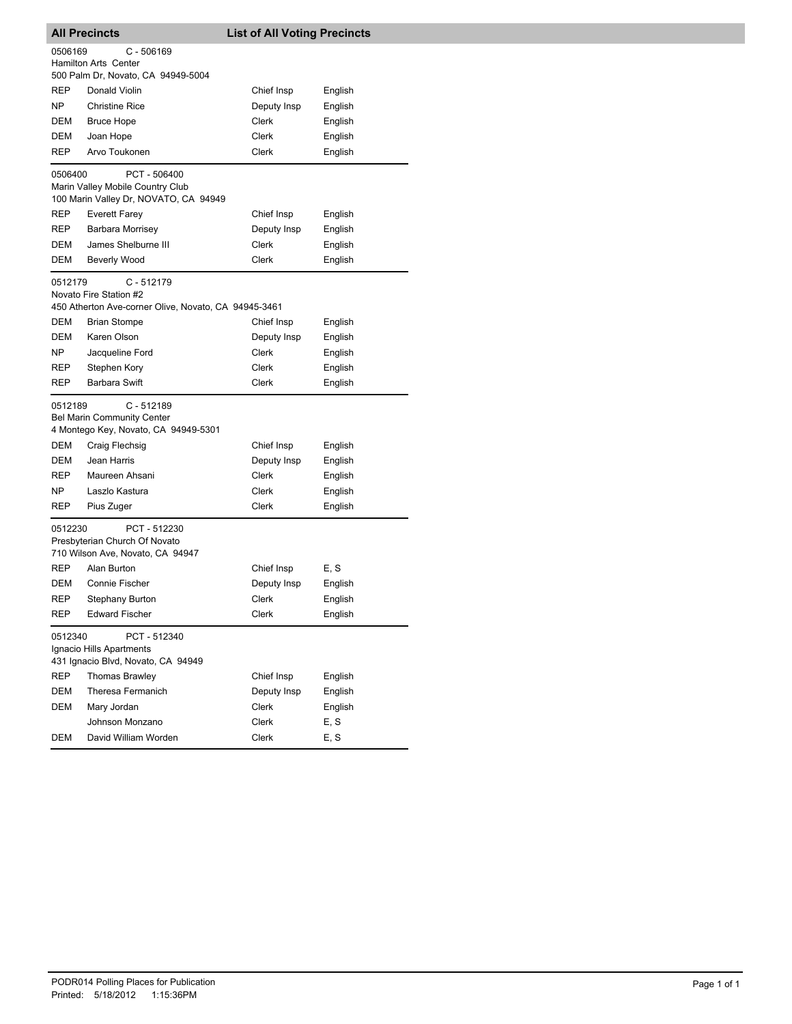| <b>All Precincts</b>                                                                         |                                                                                                | <b>List of All Voting Precincts</b> |         |  |
|----------------------------------------------------------------------------------------------|------------------------------------------------------------------------------------------------|-------------------------------------|---------|--|
| 0506169                                                                                      | $C - 506169$<br><b>Hamilton Arts Center</b><br>500 Palm Dr, Novato, CA 94949-5004              |                                     |         |  |
| <b>REP</b>                                                                                   | Donald Violin                                                                                  | Chief Insp                          | English |  |
| NP                                                                                           | <b>Christine Rice</b>                                                                          | Deputy Insp                         | English |  |
| DEM                                                                                          | <b>Bruce Hope</b>                                                                              | Clerk                               | English |  |
| DEM                                                                                          | Joan Hope                                                                                      | Clerk                               | English |  |
| <b>REP</b>                                                                                   | Arvo Toukonen                                                                                  | Clerk                               | English |  |
| 0506400                                                                                      | PCT-506400<br>Marin Valley Mobile Country Club<br>100 Marin Valley Dr, NOVATO, CA 94949        |                                     |         |  |
| REP                                                                                          | <b>Everett Farey</b>                                                                           | Chief Insp                          | English |  |
| REP                                                                                          | Barbara Morrisey                                                                               | Deputy Insp                         | English |  |
| DEM                                                                                          | James Shelburne III                                                                            | Clerk                               | English |  |
| DEM                                                                                          | Beverly Wood                                                                                   | Clerk                               | English |  |
| 0512179                                                                                      | $C - 512179$<br>Novato Fire Station #2<br>450 Atherton Ave-corner Olive, Novato, CA 94945-3461 |                                     |         |  |
| DEM                                                                                          | <b>Brian Stompe</b>                                                                            | Chief Insp                          | English |  |
| DEM                                                                                          | Karen Olson                                                                                    | Deputy Insp                         | English |  |
| NP                                                                                           | Jacqueline Ford                                                                                | Clerk                               | English |  |
| REP                                                                                          | Stephen Kory                                                                                   | Clerk                               | English |  |
| REP                                                                                          | <b>Barbara Swift</b>                                                                           | Clerk                               | English |  |
| 0512189                                                                                      | $C - 512189$<br><b>Bel Marin Community Center</b><br>4 Montego Key, Novato, CA 94949-5301      |                                     |         |  |
| DEM                                                                                          | Craig Flechsig                                                                                 | Chief Insp                          | English |  |
| DEM                                                                                          | Jean Harris                                                                                    | Deputy Insp                         | English |  |
| REP                                                                                          | Maureen Ahsani                                                                                 | Clerk                               | English |  |
| NP.                                                                                          | Laszlo Kastura                                                                                 | Clerk                               | English |  |
| REP                                                                                          | Pius Zuger                                                                                     | Clerk                               | English |  |
| 0512230<br>PCT - 512230<br>Presbyterian Church Of Novato<br>710 Wilson Ave, Novato, CA 94947 |                                                                                                |                                     |         |  |
| <b>REP</b>                                                                                   | Alan Burton                                                                                    | Chief Insp                          | E, S    |  |
| DEM                                                                                          | Connie Fischer                                                                                 | Deputy Insp                         | English |  |
| REP                                                                                          | Stephany Burton                                                                                | Clerk                               | English |  |
| REP                                                                                          | Edward Fischer                                                                                 | Clerk                               | English |  |
| 0512340                                                                                      | PCT - 512340<br>Ignacio Hills Apartments<br>431 Ignacio Blvd, Novato, CA 94949                 |                                     |         |  |
| <b>REP</b>                                                                                   | <b>Thomas Brawley</b>                                                                          | Chief Insp                          | English |  |
| DEM                                                                                          | Theresa Fermanich                                                                              | Deputy Insp                         | English |  |
| DEM                                                                                          | Mary Jordan                                                                                    | Clerk                               | English |  |
|                                                                                              | Johnson Monzano                                                                                | Clerk                               | E, S    |  |
| <b>DEM</b>                                                                                   | David William Worden                                                                           | Clerk                               | E, S    |  |